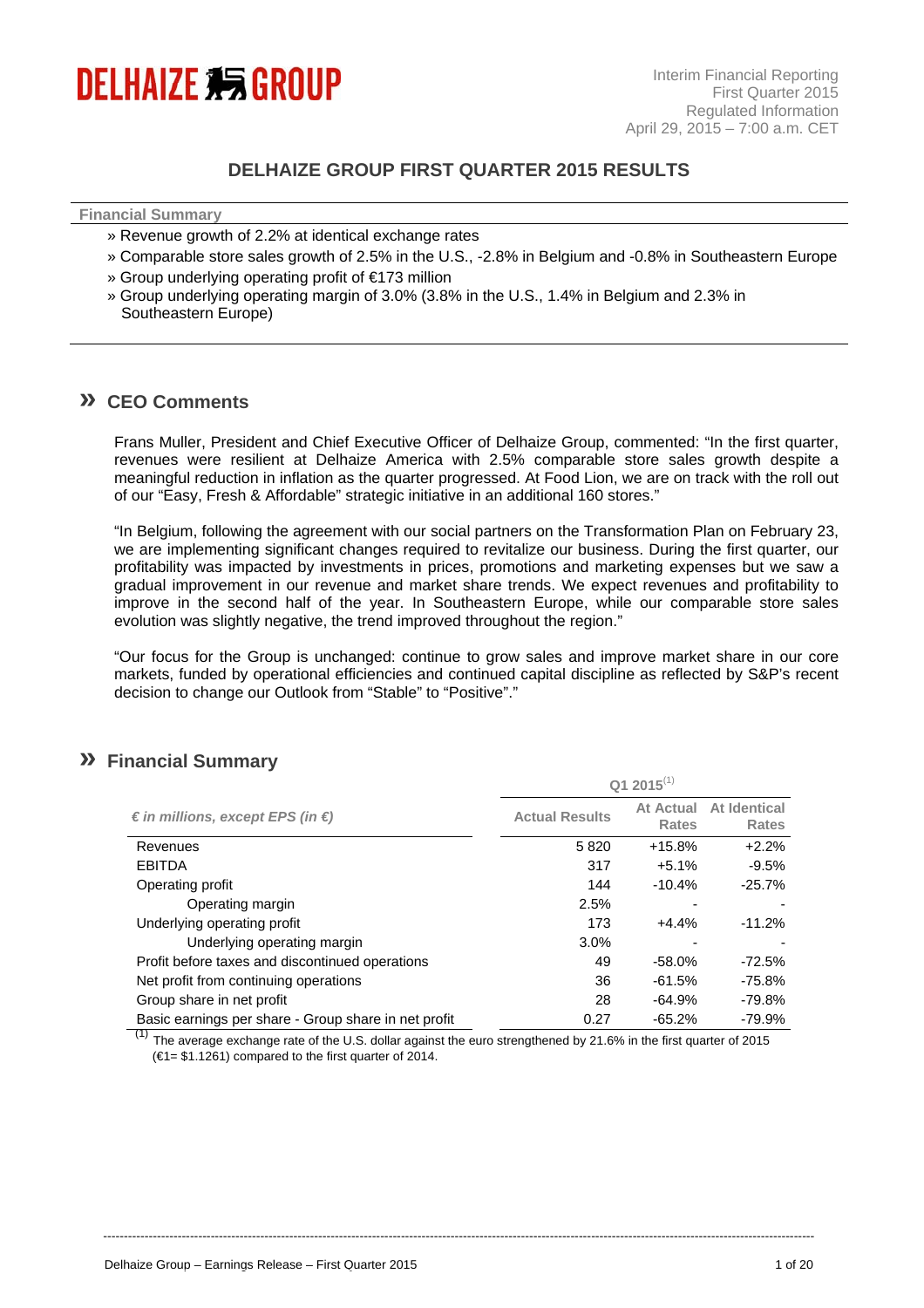

## **DELHAIZE GROUP FIRST QUARTER 2015 RESULTS**

| <b>Financial Summary</b> |  |  |
|--------------------------|--|--|
|                          |  |  |

- » Revenue growth of 2.2% at identical exchange rates
- » Comparable store sales growth of 2.5% in the U.S., -2.8% in Belgium and -0.8% in Southeastern Europe
- » Group underlying operating profit of €173 million
- » Group underlying operating margin of 3.0% (3.8% in the U.S., 1.4% in Belgium and 2.3% in Southeastern Europe)

### **» CEO Comments**

Frans Muller, President and Chief Executive Officer of Delhaize Group, commented: "In the first quarter, revenues were resilient at Delhaize America with 2.5% comparable store sales growth despite a meaningful reduction in inflation as the quarter progressed. At Food Lion, we are on track with the roll out of our "Easy, Fresh & Affordable" strategic initiative in an additional 160 stores."

"In Belgium, following the agreement with our social partners on the Transformation Plan on February 23, we are implementing significant changes required to revitalize our business. During the first quarter, our profitability was impacted by investments in prices, promotions and marketing expenses but we saw a gradual improvement in our revenue and market share trends. We expect revenues and profitability to improve in the second half of the year. In Southeastern Europe, while our comparable store sales evolution was slightly negative, the trend improved throughout the region."

"Our focus for the Group is unchanged: continue to grow sales and improve market share in our core markets, funded by operational efficiencies and continued capital discipline as reflected by S&P's recent decision to change our Outlook from "Stable" to "Positive"."

### **» Financial Summary**

|                                                      | $Q1 2015^{(1)}$       |                           |                              |  |
|------------------------------------------------------|-----------------------|---------------------------|------------------------------|--|
| $\epsilon$ in millions, except EPS (in $\epsilon$ )  | <b>Actual Results</b> | At Actual<br><b>Rates</b> | At Identical<br><b>Rates</b> |  |
| Revenues                                             | 5820                  | $+15.8%$                  | $+2.2%$                      |  |
| <b>EBITDA</b>                                        | 317                   | $+5.1%$                   | $-9.5%$                      |  |
| Operating profit                                     | 144                   | $-10.4%$                  | $-25.7%$                     |  |
| Operating margin                                     | 2.5%                  |                           |                              |  |
| Underlying operating profit                          | 173                   | $+4.4%$                   | $-11.2%$                     |  |
| Underlying operating margin                          | 3.0%                  |                           |                              |  |
| Profit before taxes and discontinued operations      | 49                    | $-58.0%$                  | $-72.5%$                     |  |
| Net profit from continuing operations                | 36                    | $-61.5%$                  | $-75.8%$                     |  |
| Group share in net profit                            | 28                    | $-64.9%$                  | -79.8%                       |  |
| Basic earnings per share - Group share in net profit | 0.27                  | $-65.2%$                  | $-79.9%$                     |  |

 $(1)$  The average exchange rate of the U.S. dollar against the euro strengthened by 21.6% in the first quarter of 2015  $(61 = $1.1261)$  compared to the first quarter of 2014.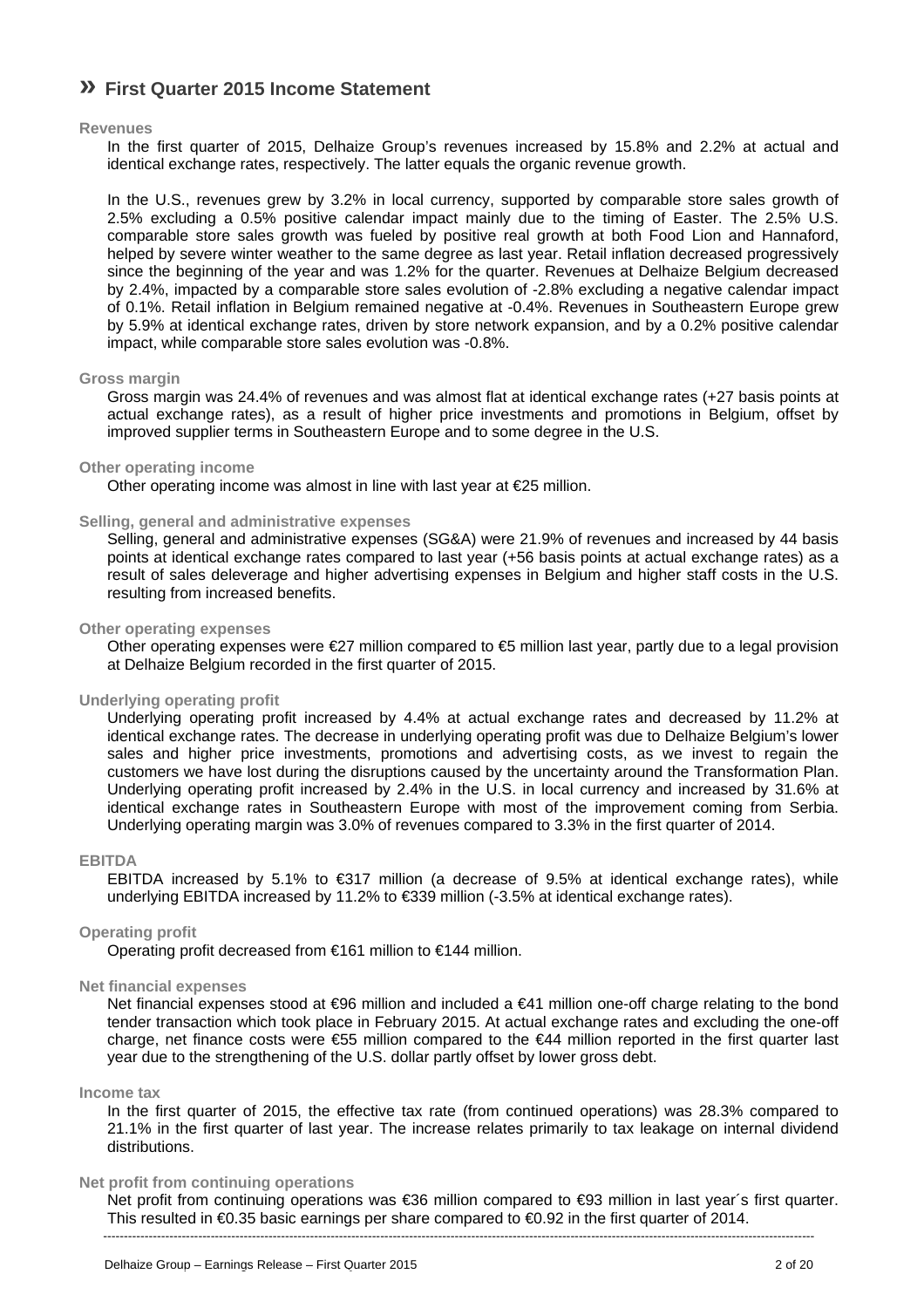# **» First Quarter 2015 Income Statement**

#### **Revenues**

In the first quarter of 2015, Delhaize Group's revenues increased by 15.8% and 2.2% at actual and identical exchange rates, respectively. The latter equals the organic revenue growth.

In the U.S., revenues grew by 3.2% in local currency, supported by comparable store sales growth of 2.5% excluding a 0.5% positive calendar impact mainly due to the timing of Easter. The 2.5% U.S. comparable store sales growth was fueled by positive real growth at both Food Lion and Hannaford, helped by severe winter weather to the same degree as last year. Retail inflation decreased progressively since the beginning of the year and was 1.2% for the quarter. Revenues at Delhaize Belgium decreased by 2.4%, impacted by a comparable store sales evolution of -2.8% excluding a negative calendar impact of 0.1%. Retail inflation in Belgium remained negative at -0.4%. Revenues in Southeastern Europe grew by 5.9% at identical exchange rates, driven by store network expansion, and by a 0.2% positive calendar impact, while comparable store sales evolution was -0.8%.

#### **Gross margin**

Gross margin was 24.4% of revenues and was almost flat at identical exchange rates (+27 basis points at actual exchange rates), as a result of higher price investments and promotions in Belgium, offset by improved supplier terms in Southeastern Europe and to some degree in the U.S.

#### **Other operating income**

Other operating income was almost in line with last year at €25 million.

#### **Selling, general and administrative expenses**

Selling, general and administrative expenses (SG&A) were 21.9% of revenues and increased by 44 basis points at identical exchange rates compared to last year (+56 basis points at actual exchange rates) as a result of sales deleverage and higher advertising expenses in Belgium and higher staff costs in the U.S. resulting from increased benefits.

#### **Other operating expenses**

Other operating expenses were  $\epsilon$ 27 million compared to  $\epsilon$ 5 million last year, partly due to a legal provision at Delhaize Belgium recorded in the first quarter of 2015.

#### **Underlying operating profit**

Underlying operating profit increased by 4.4% at actual exchange rates and decreased by 11.2% at identical exchange rates. The decrease in underlying operating profit was due to Delhaize Belgium's lower sales and higher price investments, promotions and advertising costs, as we invest to regain the customers we have lost during the disruptions caused by the uncertainty around the Transformation Plan. Underlying operating profit increased by 2.4% in the U.S. in local currency and increased by 31.6% at identical exchange rates in Southeastern Europe with most of the improvement coming from Serbia. Underlying operating margin was 3.0% of revenues compared to 3.3% in the first quarter of 2014.

#### **EBITDA**

EBITDA increased by 5.1% to  $\epsilon$ 317 million (a decrease of 9.5% at identical exchange rates), while underlying EBITDA increased by 11.2% to €339 million (-3.5% at identical exchange rates).

#### **Operating profit**

Operating profit decreased from €161 million to €144 million.

#### **Net financial expenses**

Net financial expenses stood at  $\epsilon$ 96 million and included a  $\epsilon$ 41 million one-off charge relating to the bond tender transaction which took place in February 2015. At actual exchange rates and excluding the one-off charge, net finance costs were €55 million compared to the €44 million reported in the first quarter last year due to the strengthening of the U.S. dollar partly offset by lower gross debt.

#### **Income tax**

In the first quarter of 2015, the effective tax rate (from continued operations) was 28.3% compared to 21.1% in the first quarter of last year. The increase relates primarily to tax leakage on internal dividend distributions.

#### **Net profit from continuing operations**

---------------------------------------------------------------------------------------------------------------------------------------------------------------------------- Net profit from continuing operations was €36 million compared to €93 million in last year´s first quarter. This resulted in €0.35 basic earnings per share compared to €0.92 in the first quarter of 2014.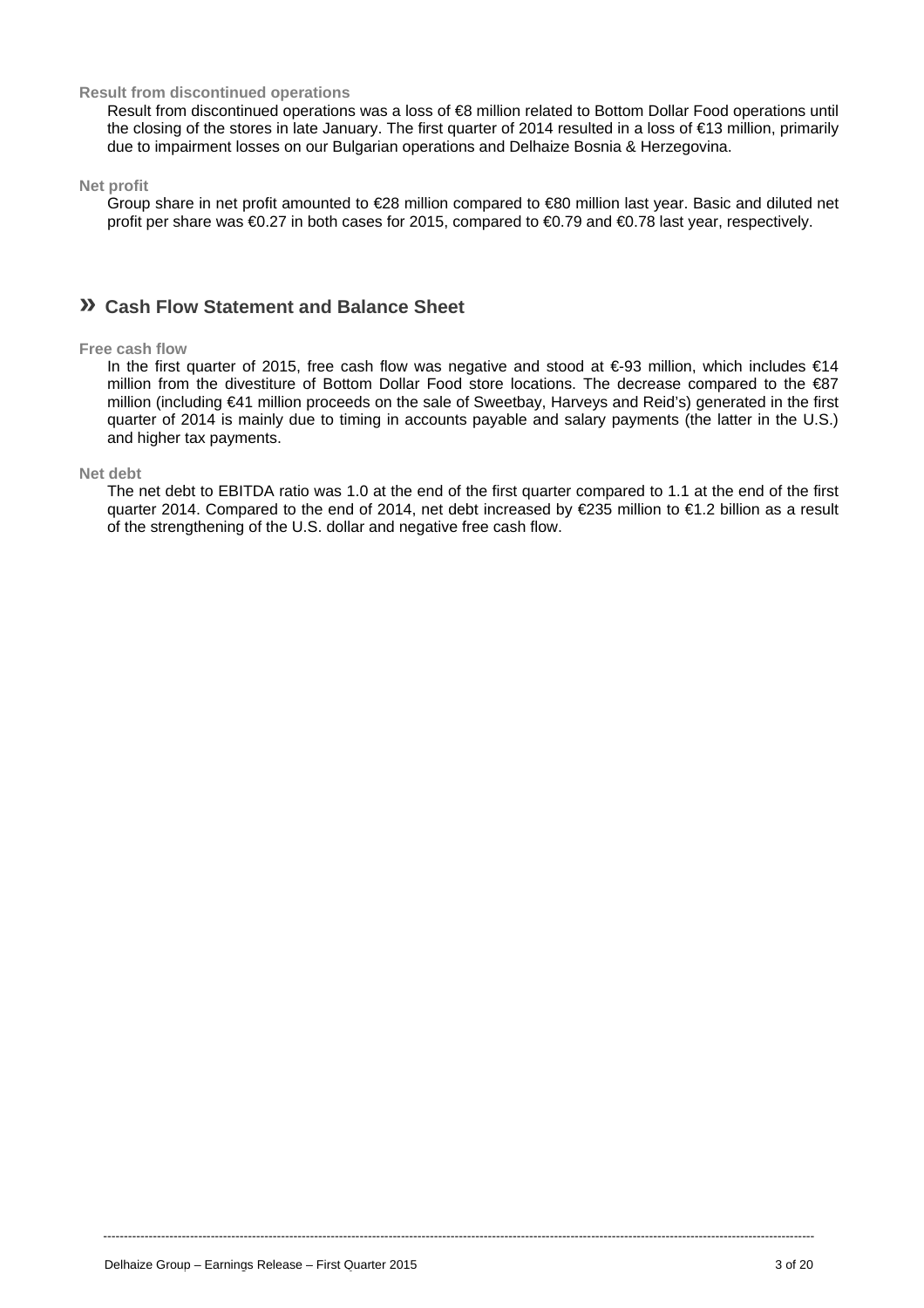#### **Result from discontinued operations**

Result from discontinued operations was a loss of €8 million related to Bottom Dollar Food operations until the closing of the stores in late January. The first quarter of 2014 resulted in a loss of €13 million, primarily due to impairment losses on our Bulgarian operations and Delhaize Bosnia & Herzegovina.

**Net profit** 

Group share in net profit amounted to €28 million compared to €80 million last year. Basic and diluted net profit per share was €0.27 in both cases for 2015, compared to €0.79 and €0.78 last year, respectively.

## **» Cash Flow Statement and Balance Sheet**

#### **Free cash flow**

In the first quarter of 2015, free cash flow was negative and stood at  $\epsilon$ -93 million, which includes  $\epsilon$ 14 million from the divestiture of Bottom Dollar Food store locations. The decrease compared to the €87 million (including €41 million proceeds on the sale of Sweetbay, Harveys and Reid's) generated in the first quarter of 2014 is mainly due to timing in accounts payable and salary payments (the latter in the U.S.) and higher tax payments.

#### **Net debt**

The net debt to EBITDA ratio was 1.0 at the end of the first quarter compared to 1.1 at the end of the first quarter 2014. Compared to the end of 2014, net debt increased by €235 million to €1.2 billion as a result of the strengthening of the U.S. dollar and negative free cash flow.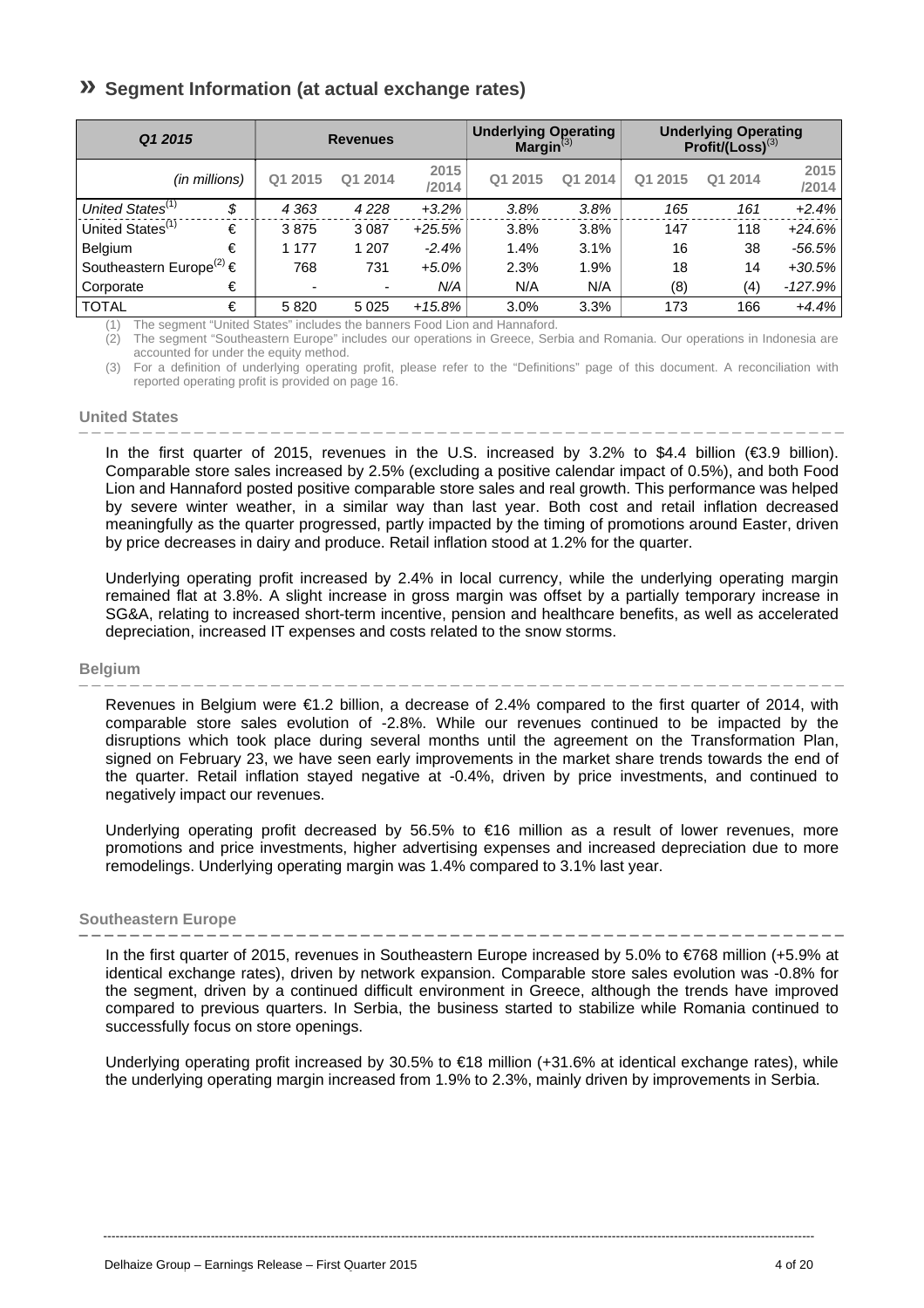# **» Segment Information (at actual exchange rates)**

| Q1 2015                                  |                          | <b>Revenues</b> |               | <b>Underlying Operating</b><br>Margin $^{(3)}$ |         |         | <b>Underlying Operating</b><br>$Profit/(Loss)^{(3)}$ |               |
|------------------------------------------|--------------------------|-----------------|---------------|------------------------------------------------|---------|---------|------------------------------------------------------|---------------|
| (in millions)                            | Q1 2015                  | Q1 2014         | 2015<br>/2014 | Q1 2015                                        | Q1 2014 | Q1 2015 | Q1 2014                                              | 2015<br>/2014 |
| United States <sup>(1)</sup><br>\$       | 4 3 6 3                  | 4228            | $+3.2%$       | 3.8%                                           | 3.8%    | 165     | 161                                                  | $+2.4%$       |
| United States <sup>(1)</sup><br>€        | 3875                     | 3 0 8 7         | $+25.5%$      | 3.8%                                           | 3.8%    | 147     | 118                                                  | $+24.6%$      |
| €<br><b>Belgium</b>                      | 1 1 7 7                  | 1 207           | $-2.4%$       | 1.4%                                           | 3.1%    | 16      | 38                                                   | $-56.5\%$     |
| Southeastern Europe <sup>(2)</sup> $\in$ | 768                      | 731             | $+5.0%$       | 2.3%                                           | 1.9%    | 18      | 14                                                   | $+30.5%$      |
| €<br>Corporate                           | $\overline{\phantom{0}}$ | ٠               | N/A           | N/A                                            | N/A     | (8)     | (4)                                                  | $-127.9%$     |
| €<br><b>TOTAL</b>                        | 5820                     | 5 0 2 5         | $+15.8%$      | 3.0%                                           | 3.3%    | 173     | 166                                                  | $+4.4%$       |

(1) The segment "United States" includes the banners Food Lion and Hannaford. (2) The segment "Southeastern Europe" includes our operations in Greece, Serbia and Romania. Our operations in Indonesia are

accounted for under the equity method.

(3) For a definition of underlying operating profit, please refer to the "Definitions" page of this document. A reconciliation with reported operating profit is provided on page 16.

#### **United States**

In the first quarter of 2015, revenues in the U.S. increased by 3.2% to \$4.4 billion (€3.9 billion). Comparable store sales increased by 2.5% (excluding a positive calendar impact of 0.5%), and both Food Lion and Hannaford posted positive comparable store sales and real growth. This performance was helped by severe winter weather, in a similar way than last year. Both cost and retail inflation decreased meaningfully as the quarter progressed, partly impacted by the timing of promotions around Easter, driven by price decreases in dairy and produce. Retail inflation stood at 1.2% for the quarter.

Underlying operating profit increased by 2.4% in local currency, while the underlying operating margin remained flat at 3.8%. A slight increase in gross margin was offset by a partially temporary increase in SG&A, relating to increased short-term incentive, pension and healthcare benefits, as well as accelerated depreciation, increased IT expenses and costs related to the snow storms.

#### **Belgium**

Revenues in Belgium were €1.2 billion, a decrease of 2.4% compared to the first quarter of 2014, with comparable store sales evolution of -2.8%. While our revenues continued to be impacted by the disruptions which took place during several months until the agreement on the Transformation Plan, signed on February 23, we have seen early improvements in the market share trends towards the end of the quarter. Retail inflation stayed negative at -0.4%, driven by price investments, and continued to negatively impact our revenues.

Underlying operating profit decreased by 56.5% to €16 million as a result of lower revenues, more promotions and price investments, higher advertising expenses and increased depreciation due to more remodelings. Underlying operating margin was 1.4% compared to 3.1% last year.

#### **Southeastern Europe**

In the first quarter of 2015, revenues in Southeastern Europe increased by 5.0% to €768 million (+5.9% at identical exchange rates), driven by network expansion. Comparable store sales evolution was -0.8% for the segment, driven by a continued difficult environment in Greece, although the trends have improved compared to previous quarters. In Serbia, the business started to stabilize while Romania continued to successfully focus on store openings.

Underlying operating profit increased by 30.5% to €18 million (+31.6% at identical exchange rates), while the underlying operating margin increased from 1.9% to 2.3%, mainly driven by improvements in Serbia.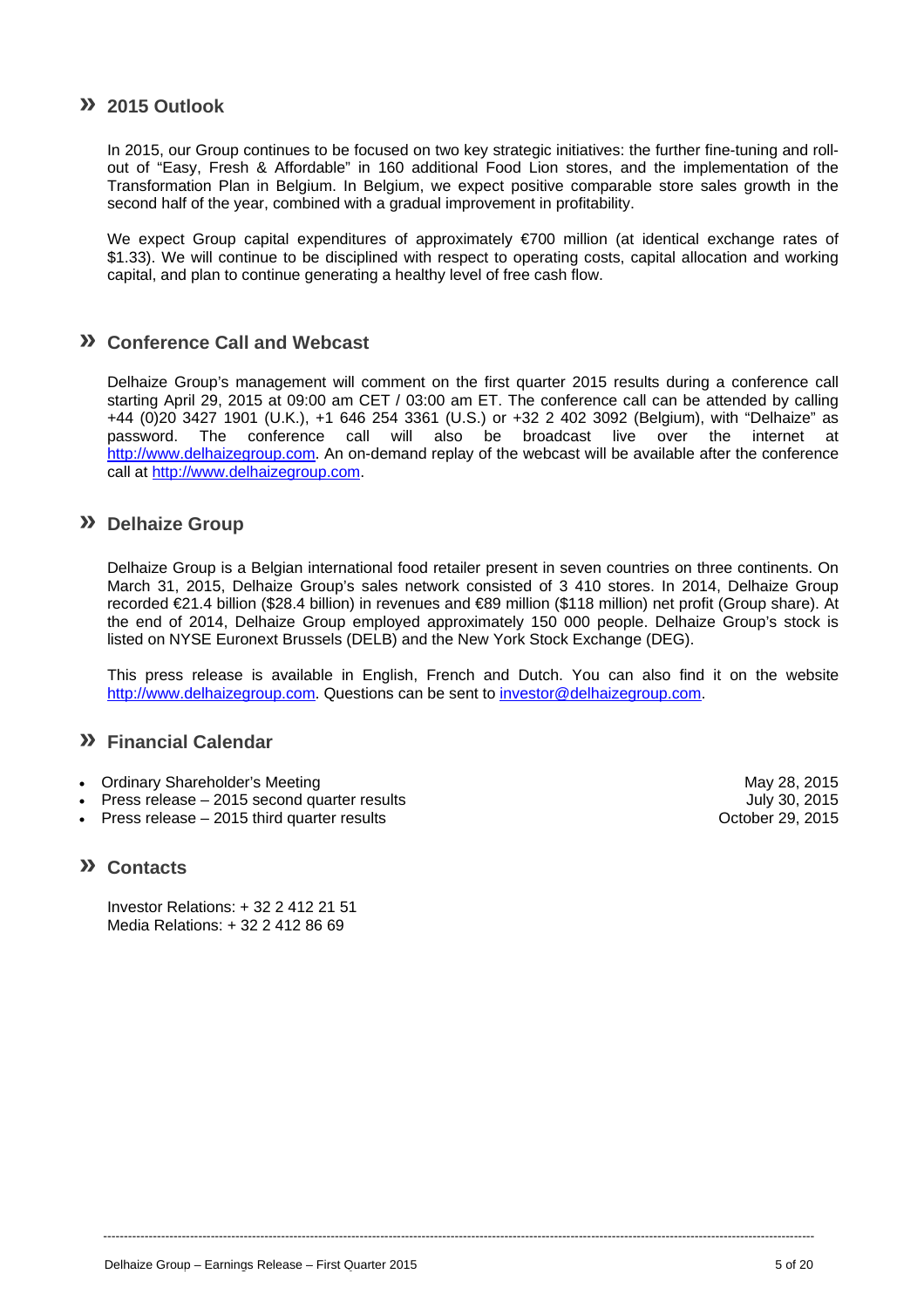## **» 2015 Outlook**

In 2015, our Group continues to be focused on two key strategic initiatives: the further fine-tuning and rollout of "Easy, Fresh & Affordable" in 160 additional Food Lion stores, and the implementation of the Transformation Plan in Belgium. In Belgium, we expect positive comparable store sales growth in the second half of the year, combined with a gradual improvement in profitability.

We expect Group capital expenditures of approximately €700 million (at identical exchange rates of \$1.33). We will continue to be disciplined with respect to operating costs, capital allocation and working capital, and plan to continue generating a healthy level of free cash flow.

## **» Conference Call and Webcast**

Delhaize Group's management will comment on the first quarter 2015 results during a conference call starting April 29, 2015 at 09:00 am CET / 03:00 am ET. The conference call can be attended by calling +44 (0)20 3427 1901 (U.K.), +1 646 254 3361 (U.S.) or +32 2 402 3092 (Belgium), with "Delhaize" as password. The conference call will also be broadcast live over the internet at http://www.delhaizegroup.com. An on-demand replay of the webcast will be available after the conference call at http://www.delhaizegroup.com.

### **» Delhaize Group**

Delhaize Group is a Belgian international food retailer present in seven countries on three continents. On March 31, 2015, Delhaize Group's sales network consisted of 3 410 stores. In 2014, Delhaize Group recorded €21.4 billion (\$28.4 billion) in revenues and €89 million (\$118 million) net profit (Group share). At the end of 2014, Delhaize Group employed approximately 150 000 people. Delhaize Group's stock is listed on NYSE Euronext Brussels (DELB) and the New York Stock Exchange (DEG).

This press release is available in English, French and Dutch. You can also find it on the website http://www.delhaizegroup.com. Questions can be sent to investor@delhaizegroup.com.

----------------------------------------------------------------------------------------------------------------------------------------------------------------------------

### **» Financial Calendar**

- Ordinary Shareholder's Meeting May 28, 2015
- Press release 2015 second quarter results July 30, 2015
- Press release 2015 third quarter results **Development Controllery** Corporation Corporation Corporation Corporation

### **» Contacts**

Investor Relations: + 32 2 412 21 51 Media Relations: + 32 2 412 86 69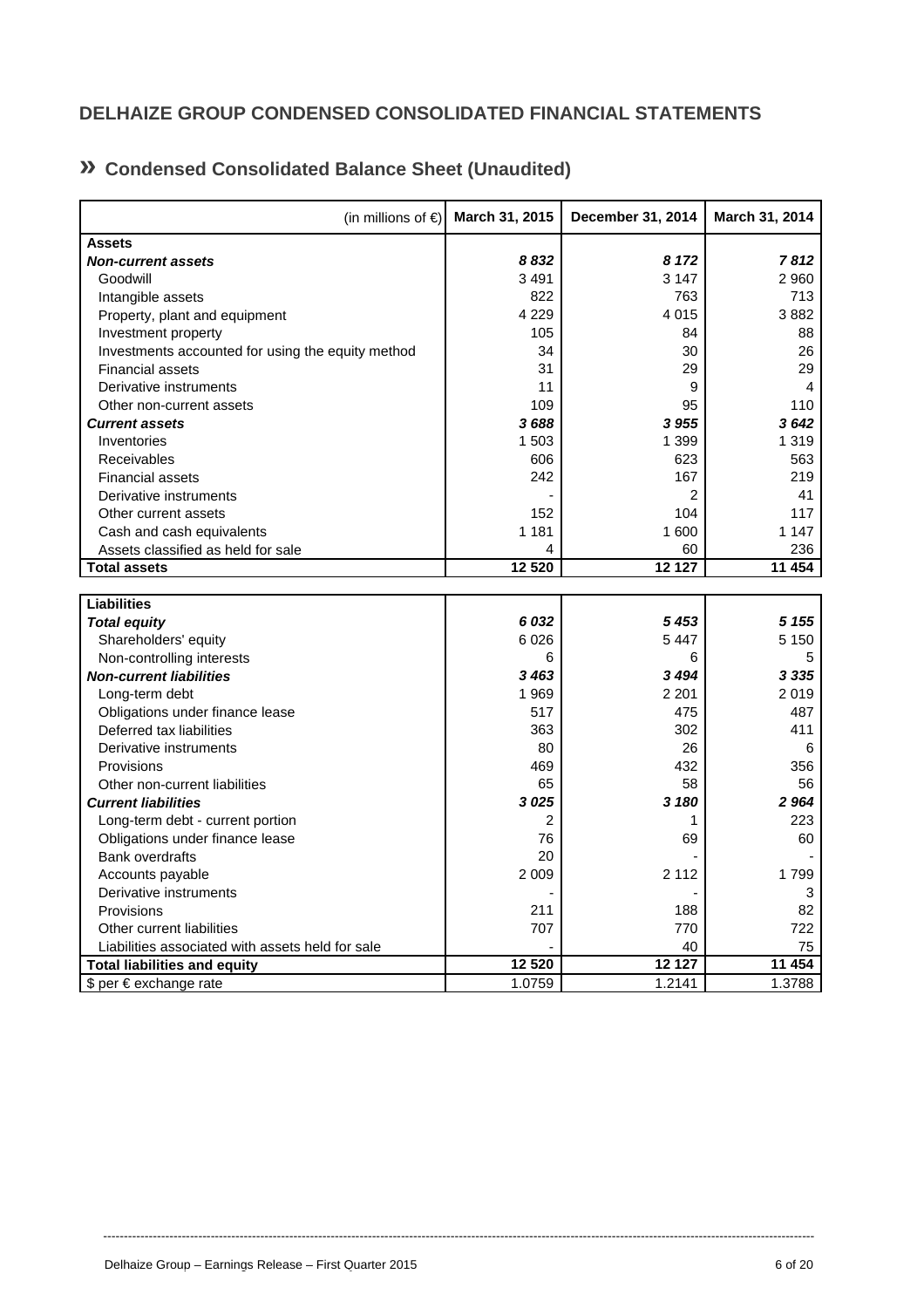# **DELHAIZE GROUP CONDENSED CONSOLIDATED FINANCIAL STATEMENTS**

# **» Condensed Consolidated Balance Sheet (Unaudited)**

| (in millions of $\epsilon$ )                      | March 31, 2015 | December 31, 2014 | March 31, 2014 |
|---------------------------------------------------|----------------|-------------------|----------------|
| <b>Assets</b>                                     |                |                   |                |
| <b>Non-current assets</b>                         | 8832           | 8 1 7 2           | 7812           |
| Goodwill                                          | 3 4 9 1        | 3 1 4 7           | 2 9 6 0        |
| Intangible assets                                 | 822            | 763               | 713            |
| Property, plant and equipment                     | 4 2 2 9        | 4 0 1 5           | 3882           |
| Investment property                               | 105            | 84                | 88             |
| Investments accounted for using the equity method | 34             | 30                | 26             |
| <b>Financial assets</b>                           | 31             | 29                | 29             |
| Derivative instruments                            | 11             | 9                 | 4              |
| Other non-current assets                          | 109            | 95                | 110            |
| <b>Current assets</b>                             | 3688           | 3 9 5 5           | 3642           |
| Inventories                                       | 1 503          | 1 3 9 9           | 1 3 1 9        |
| Receivables                                       | 606            | 623               | 563            |
| <b>Financial assets</b>                           | 242            | 167               | 219            |
| Derivative instruments                            |                | $\overline{2}$    | 41             |
| Other current assets                              | 152            | 104               | 117            |
| Cash and cash equivalents                         | 1 1 8 1        | 1 600             | 1 1 4 7        |
| Assets classified as held for sale                | 4              | 60                | 236            |
| <b>Total assets</b>                               | 12 5 20        | 12127             | 11 454         |
|                                                   |                |                   |                |
| <b>Liabilities</b>                                |                |                   |                |
| <b>Total equity</b>                               | 6 0 32         | 5453              | 5 1 5 5        |
| Shareholders' equity                              | 6 0 26         | 5447              | 5 1 5 0        |
| Non-controlling interests                         | 6              | 6                 | 5              |
| <b>Non-current liabilities</b>                    | 3 4 6 3        | 3494              | 3 3 3 5        |
| Long-term debt                                    | 1 969          | 2 2 0 1           | 2019           |
| Obligations under finance lease                   | 517            | 475               | 487            |
| Deferred tax liabilities                          | 363            | 302               | 411            |
| Derivative instruments                            | 80             | 26                | 6              |
| Provisions                                        | 469            | 432               | 356            |
| Other non-current liabilities                     | 65             | 58                | 56             |
| <b>Current liabilities</b>                        | 3025           | 3 180             | 2 9 64         |
| Long-term debt - current portion                  | 2              | 1                 | 223            |
| Obligations under finance lease                   | 76             | 69                | 60             |
| <b>Bank overdrafts</b>                            | 20             |                   |                |
| Accounts payable                                  | 2 0 0 9        | 2 1 1 2           | 1799           |
| Derivative instruments                            |                |                   | 3              |
| Provisions                                        | 211            | 188               | 82             |
| Other current liabilities                         | 707            | 770               | 722            |
| Liabilities associated with assets held for sale  |                | 40                | 75             |
| <b>Total liabilities and equity</b>               | 12 520         | 12 127            | 11 454         |
| \$ per € exchange rate                            | 1.0759         | 1.2141            | 1.3788         |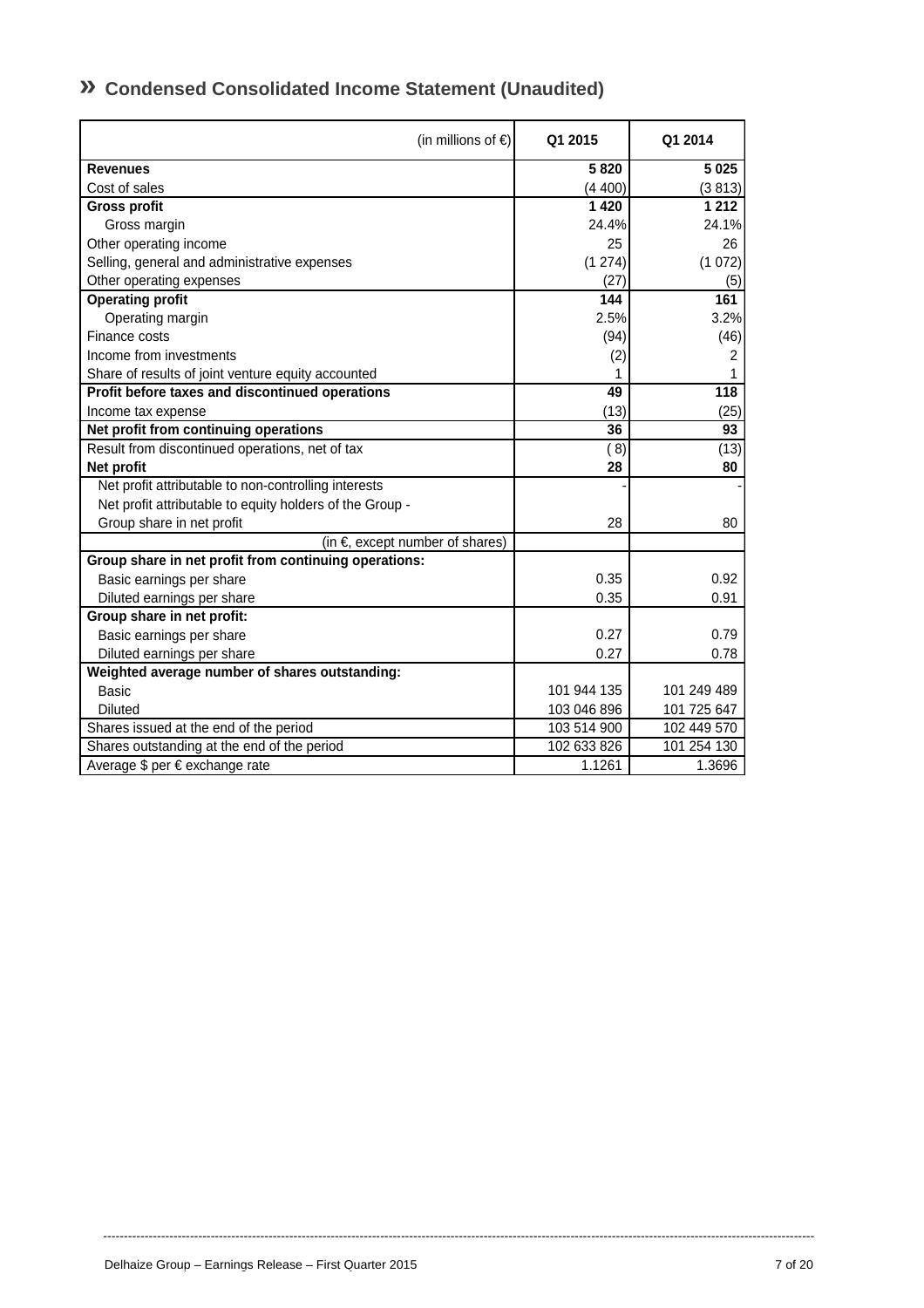| (in millions of $\epsilon$ )                             | Q1 2015     | Q1 2014          |
|----------------------------------------------------------|-------------|------------------|
| <b>Revenues</b>                                          | 5820        | 5025             |
| Cost of sales                                            | (4400)      | (3813)           |
| <b>Gross profit</b>                                      | 1 4 2 0     | 1 2 1 2          |
| Gross margin                                             | 24.4%       | 24.1%            |
| Other operating income                                   | 25          | 26               |
| Selling, general and administrative expenses             | (1274)      | (1072)           |
| Other operating expenses                                 | (27)        | (5)              |
| <b>Operating profit</b>                                  | 144         | 161              |
| Operating margin                                         | 2.5%        | 3.2%             |
| Finance costs                                            | (94)        | (46)             |
| Income from investments                                  | (2)         | 2                |
| Share of results of joint venture equity accounted       |             | 1                |
| Profit before taxes and discontinued operations          | 49          | $\overline{118}$ |
| Income tax expense                                       | (13)        | (25)             |
| Net profit from continuing operations                    | 36          | 93               |
| Result from discontinued operations, net of tax          | (8)         | (13)             |
| Net profit                                               | 28          | 80               |
| Net profit attributable to non-controlling interests     |             |                  |
| Net profit attributable to equity holders of the Group - |             |                  |
| Group share in net profit                                | 28          | 80               |
| (in $\epsilon$ , except number of shares)                |             |                  |
| Group share in net profit from continuing operations:    |             |                  |
| Basic earnings per share                                 | 0.35        | 0.92             |
| Diluted earnings per share                               | 0.35        | 0.91             |
| Group share in net profit:                               |             |                  |
| Basic earnings per share                                 | 0.27        | 0.79             |
| Diluted earnings per share                               | 0.27        | 0.78             |
| Weighted average number of shares outstanding:           |             |                  |
| Basic                                                    | 101 944 135 | 101 249 489      |
| <b>Diluted</b>                                           | 103 046 896 | 101 725 647      |
| Shares issued at the end of the period                   | 103 514 900 | 102 449 570      |
| Shares outstanding at the end of the period              | 102 633 826 | 101 254 130      |
| Average \$ per € exchange rate                           | 1.1261      | 1.3696           |

----------------------------------------------------------------------------------------------------------------------------------------------------------------------------

# **» Condensed Consolidated Income Statement (Unaudited)**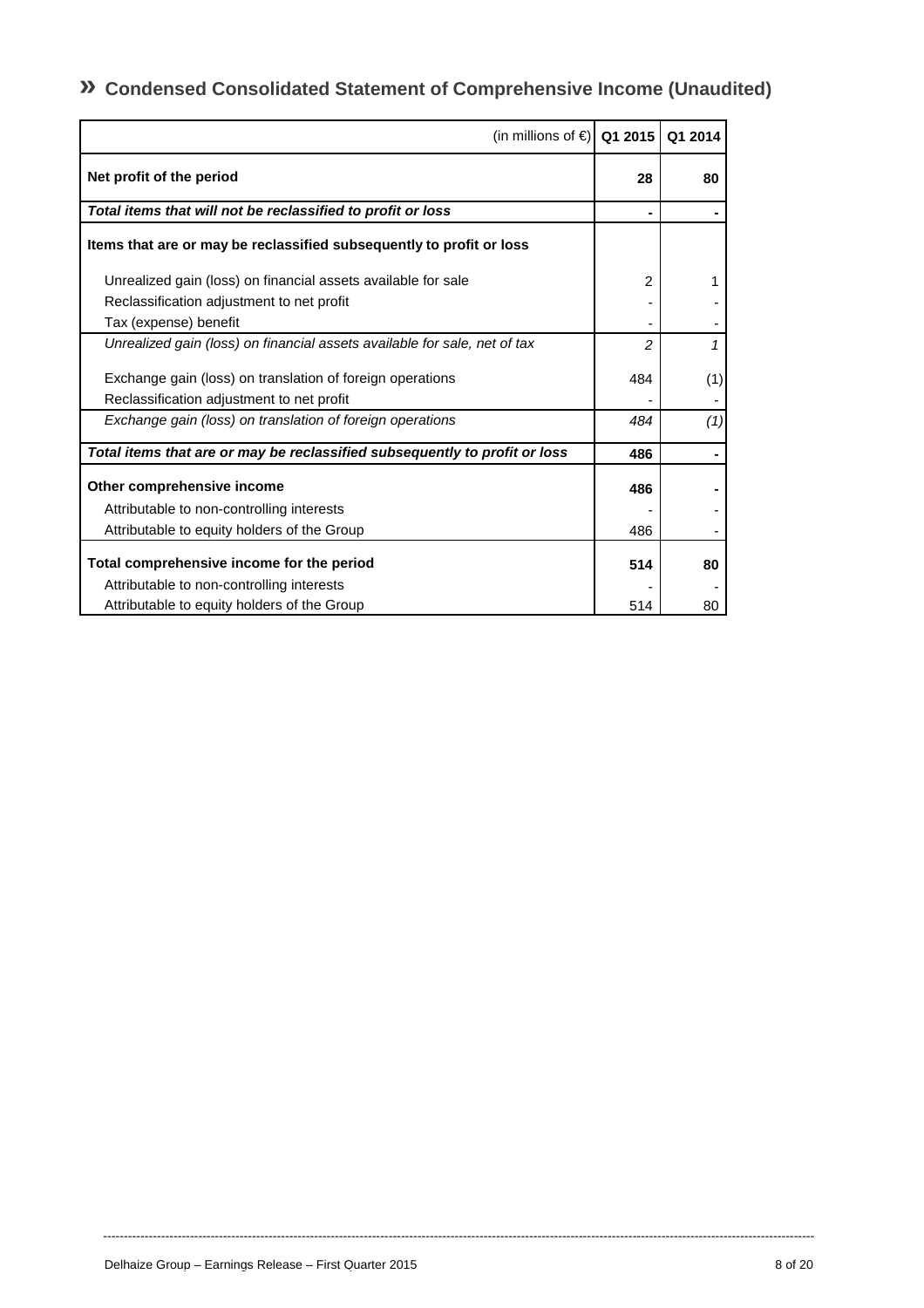**» Condensed Consolidated Statement of Comprehensive Income (Unaudited)** 

| (in millions of €) Q1 2015                                                 |                | Q1 2014 |
|----------------------------------------------------------------------------|----------------|---------|
| Net profit of the period                                                   | 28             | 80      |
| Total items that will not be reclassified to profit or loss                |                |         |
| Items that are or may be reclassified subsequently to profit or loss       |                |         |
| Unrealized gain (loss) on financial assets available for sale              | $\overline{2}$ | 1       |
| Reclassification adjustment to net profit                                  |                |         |
| Tax (expense) benefit                                                      |                |         |
| Unrealized gain (loss) on financial assets available for sale, net of tax  | $\overline{c}$ | 1       |
| Exchange gain (loss) on translation of foreign operations                  | 484            | (1)     |
| Reclassification adjustment to net profit                                  |                |         |
| Exchange gain (loss) on translation of foreign operations                  | 484            | (1)     |
| Total items that are or may be reclassified subsequently to profit or loss | 486            |         |
| Other comprehensive income                                                 | 486            |         |
| Attributable to non-controlling interests                                  |                |         |
| Attributable to equity holders of the Group                                | 486            |         |
| Total comprehensive income for the period                                  | 514            | 80      |
| Attributable to non-controlling interests                                  |                |         |
| Attributable to equity holders of the Group                                | 514            | 80      |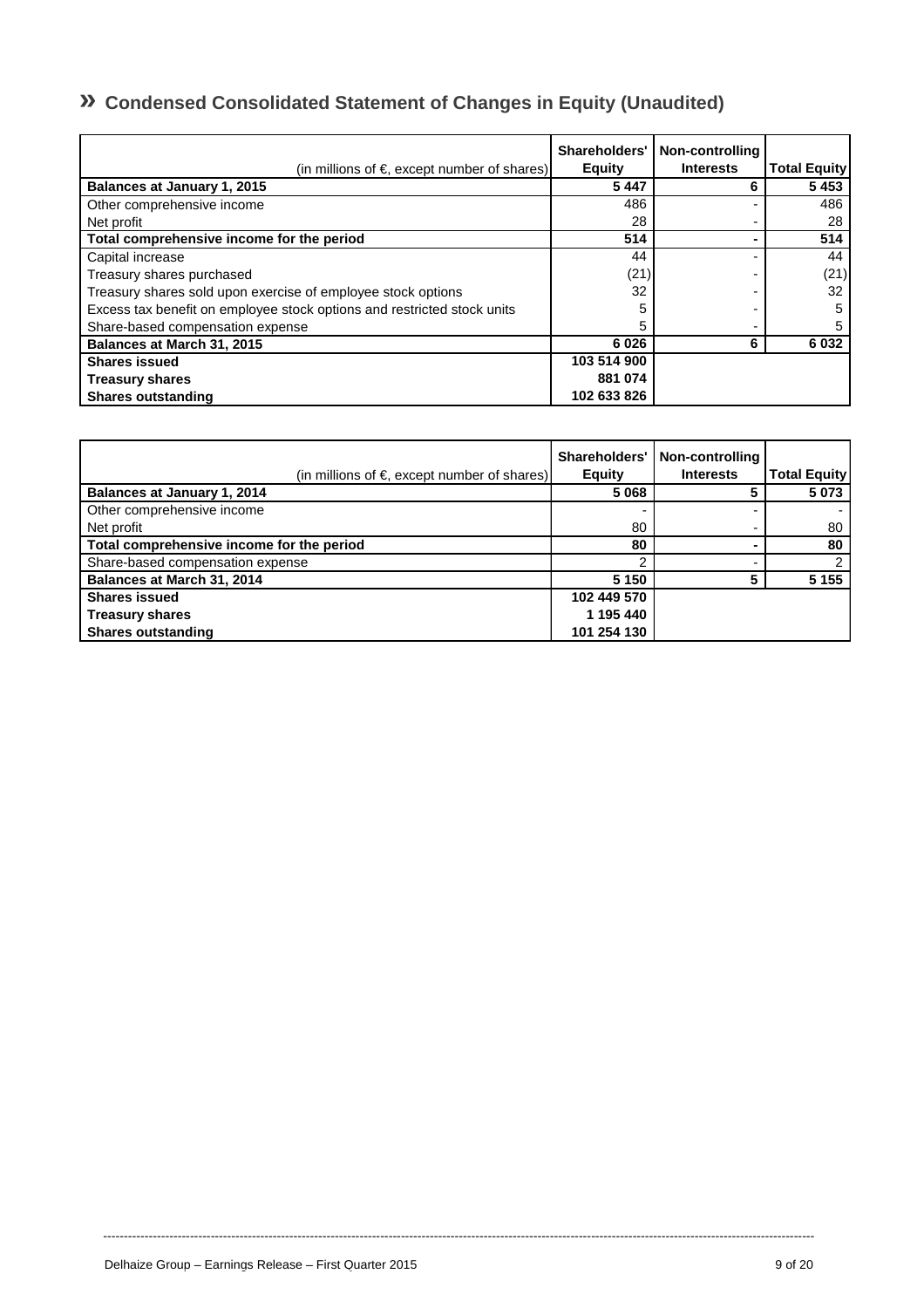# **» Condensed Consolidated Statement of Changes in Equity (Unaudited)**

| (in millions of $\epsilon$ , except number of shares)                   | Shareholders'<br><b>Equity</b> | Non-controlling<br><b>Interests</b> | <b>Total Equity</b> |
|-------------------------------------------------------------------------|--------------------------------|-------------------------------------|---------------------|
| Balances at January 1, 2015                                             | 5447                           | 6                                   | 5453                |
| Other comprehensive income                                              | 486                            |                                     | 486                 |
| Net profit                                                              | 28                             |                                     | 28                  |
| Total comprehensive income for the period                               | 514                            |                                     | 514                 |
| Capital increase                                                        | 44                             |                                     | 44                  |
| Treasury shares purchased                                               | (21)                           |                                     | (21)                |
| Treasury shares sold upon exercise of employee stock options            | 32                             |                                     | 32                  |
| Excess tax benefit on employee stock options and restricted stock units | 5                              |                                     | 5                   |
| Share-based compensation expense                                        | 5                              |                                     |                     |
| Balances at March 31, 2015                                              | 6026                           | 6                                   | 6 0 3 2             |
| <b>Shares issued</b>                                                    | 103 514 900                    |                                     |                     |
| <b>Treasury shares</b>                                                  | 881 074                        |                                     |                     |
| <b>Shares outstanding</b>                                               | 102 633 826                    |                                     |                     |

| (in millions of $\epsilon$ , except number of shares) | Shareholders'<br><b>Equity</b> | Non-controlling<br><b>Interests</b> | <b>Total Equity</b> |
|-------------------------------------------------------|--------------------------------|-------------------------------------|---------------------|
| Balances at January 1, 2014                           | 5 0 6 8                        |                                     | 5 0 7 3             |
| Other comprehensive income                            |                                |                                     |                     |
| Net profit                                            | 80                             |                                     | 80                  |
| Total comprehensive income for the period             | 80                             |                                     | 80                  |
| Share-based compensation expense                      |                                |                                     |                     |
| Balances at March 31, 2014                            | 5 1 5 0                        |                                     | 5 1 5 5             |
| <b>Shares issued</b>                                  | 102 449 570                    |                                     |                     |
| <b>Treasury shares</b>                                | 1 195 440                      |                                     |                     |
| <b>Shares outstanding</b>                             | 101 254 130                    |                                     |                     |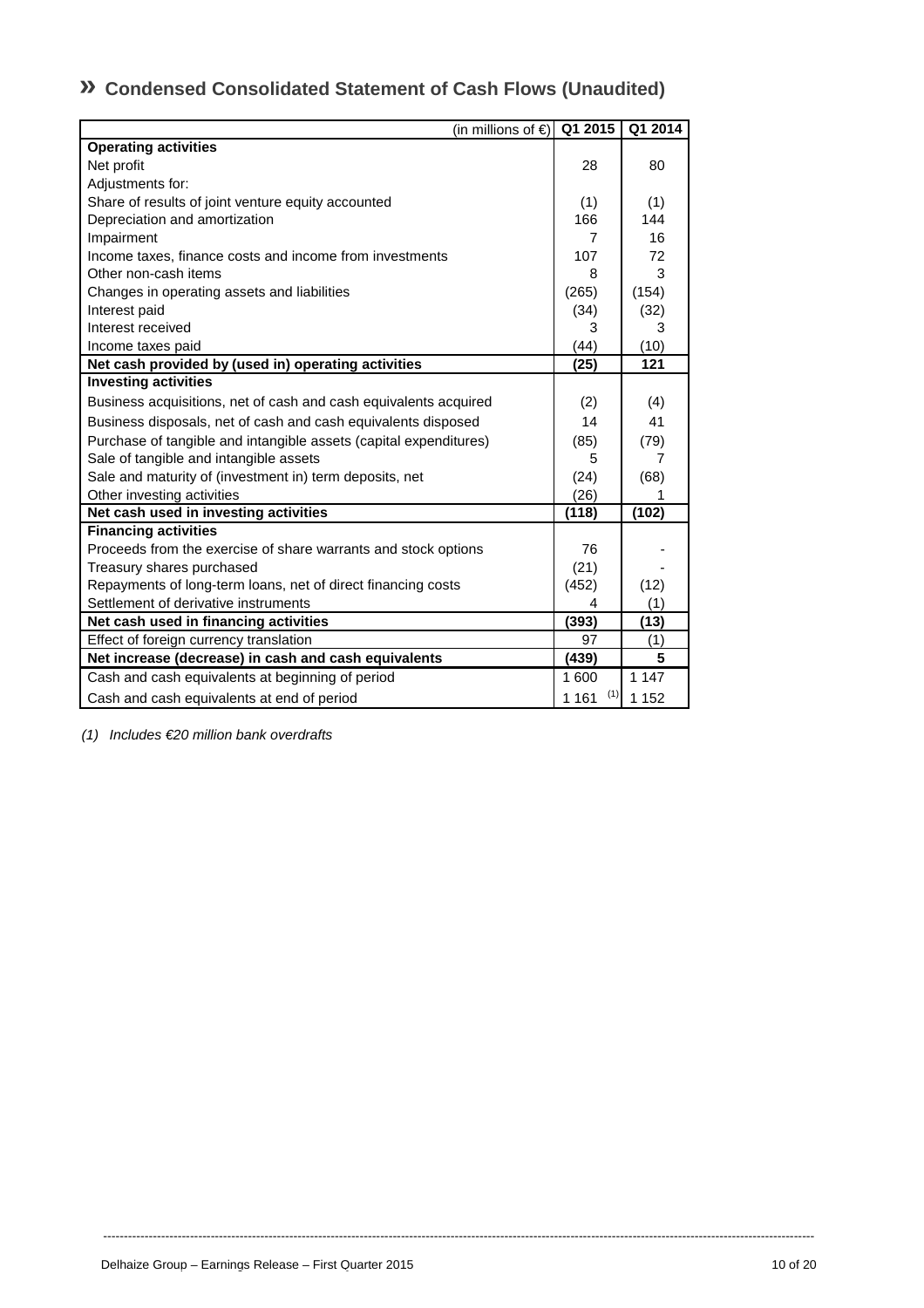# **» Condensed Consolidated Statement of Cash Flows (Unaudited)**

| (in millions of $\epsilon$ )                                      | Q1 2015        | Q1 2014 |
|-------------------------------------------------------------------|----------------|---------|
| <b>Operating activities</b>                                       |                |         |
| Net profit                                                        | 28             | 80      |
| Adjustments for:                                                  |                |         |
| Share of results of joint venture equity accounted                | (1)            | (1)     |
| Depreciation and amortization                                     | 166            | 144     |
| Impairment                                                        | 7              | 16      |
| Income taxes, finance costs and income from investments           | 107            | 72      |
| Other non-cash items                                              | 8              | 3       |
| Changes in operating assets and liabilities                       | (265)          | (154)   |
| Interest paid                                                     | (34)           | (32)    |
| Interest received                                                 | 3              | 3       |
| Income taxes paid                                                 | (44)           | (10)    |
| Net cash provided by (used in) operating activities               | (25)           | 121     |
| <b>Investing activities</b>                                       |                |         |
| Business acquisitions, net of cash and cash equivalents acquired  | (2)            | (4)     |
| Business disposals, net of cash and cash equivalents disposed     | 14             | 41      |
| Purchase of tangible and intangible assets (capital expenditures) | (85)           | (79)    |
| Sale of tangible and intangible assets                            | 5              | 7       |
| Sale and maturity of (investment in) term deposits, net           | (24)           | (68)    |
| Other investing activities                                        | (26)           |         |
| Net cash used in investing activities                             | (118)          | (102)   |
| <b>Financing activities</b>                                       |                |         |
| Proceeds from the exercise of share warrants and stock options    | 76             |         |
| Treasury shares purchased                                         | (21)           |         |
| Repayments of long-term loans, net of direct financing costs      | (452)          | (12)    |
| Settlement of derivative instruments                              | 4              | (1)     |
| Net cash used in financing activities                             | (393)          | (13)    |
| Effect of foreign currency translation                            | 97             | (1)     |
| Net increase (decrease) in cash and cash equivalents              | (439)          | 5       |
| Cash and cash equivalents at beginning of period                  | 1 600          | 1 1 4 7 |
| Cash and cash equivalents at end of period                        | (1)<br>1 1 6 1 | 1 1 5 2 |

*(1) Includes €20 million bank overdrafts*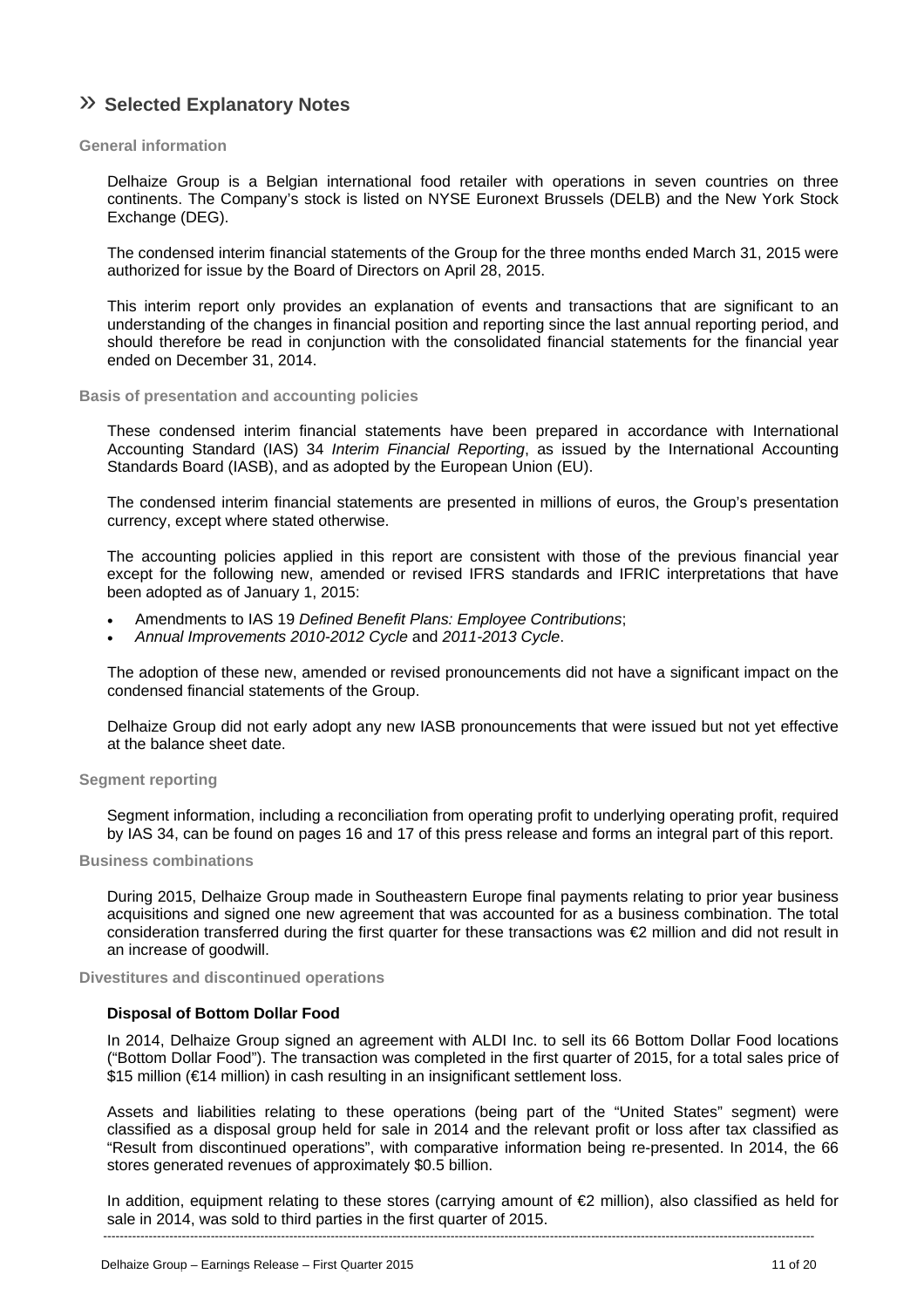# » **Selected Explanatory Notes**

#### **General information**

Delhaize Group is a Belgian international food retailer with operations in seven countries on three continents. The Company's stock is listed on NYSE Euronext Brussels (DELB) and the New York Stock Exchange (DEG).

The condensed interim financial statements of the Group for the three months ended March 31, 2015 were authorized for issue by the Board of Directors on April 28, 2015.

This interim report only provides an explanation of events and transactions that are significant to an understanding of the changes in financial position and reporting since the last annual reporting period, and should therefore be read in conjunction with the consolidated financial statements for the financial year ended on December 31, 2014.

#### **Basis of presentation and accounting policies**

These condensed interim financial statements have been prepared in accordance with International Accounting Standard (IAS) 34 *Interim Financial Reporting*, as issued by the International Accounting Standards Board (IASB), and as adopted by the European Union (EU).

The condensed interim financial statements are presented in millions of euros, the Group's presentation currency, except where stated otherwise.

The accounting policies applied in this report are consistent with those of the previous financial year except for the following new, amended or revised IFRS standards and IFRIC interpretations that have been adopted as of January 1, 2015:

- Amendments to IAS 19 *Defined Benefit Plans: Employee Contributions*;
- *Annual Improvements 2010-2012 Cycle* and *2011-2013 Cycle*.

The adoption of these new, amended or revised pronouncements did not have a significant impact on the condensed financial statements of the Group.

Delhaize Group did not early adopt any new IASB pronouncements that were issued but not yet effective at the balance sheet date.

#### **Segment reporting**

Segment information, including a reconciliation from operating profit to underlying operating profit, required by IAS 34, can be found on pages 16 and 17 of this press release and forms an integral part of this report.

### **Business combinations**

During 2015, Delhaize Group made in Southeastern Europe final payments relating to prior year business acquisitions and signed one new agreement that was accounted for as a business combination. The total consideration transferred during the first quarter for these transactions was €2 million and did not result in an increase of goodwill.

**Divestitures and discontinued operations** 

### **Disposal of Bottom Dollar Food**

In 2014, Delhaize Group signed an agreement with ALDI Inc. to sell its 66 Bottom Dollar Food locations ("Bottom Dollar Food"). The transaction was completed in the first quarter of 2015, for a total sales price of \$15 million (€14 million) in cash resulting in an insignificant settlement loss.

Assets and liabilities relating to these operations (being part of the "United States" segment) were classified as a disposal group held for sale in 2014 and the relevant profit or loss after tax classified as "Result from discontinued operations", with comparative information being re-presented. In 2014, the 66 stores generated revenues of approximately \$0.5 billion.

---------------------------------------------------------------------------------------------------------------------------------------------------------------------------- In addition, equipment relating to these stores (carrying amount of  $\epsilon$ 2 million), also classified as held for sale in 2014, was sold to third parties in the first quarter of 2015.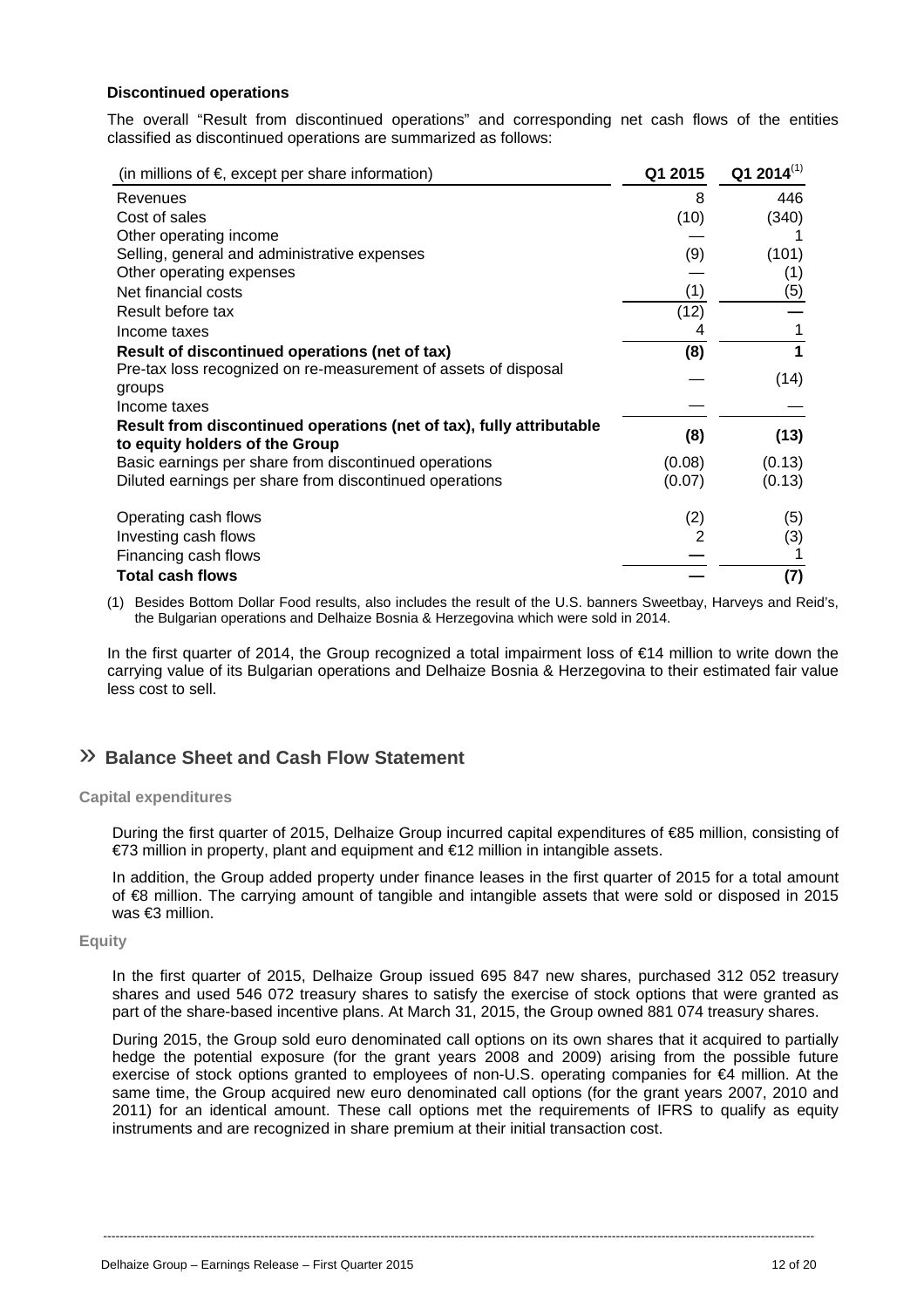#### **Discontinued operations**

The overall "Result from discontinued operations" and corresponding net cash flows of the entities classified as discontinued operations are summarized as follows:

| (in millions of $\epsilon$ , except per share information)           | Q1 2015 | $Q12014^{(1)}$ |
|----------------------------------------------------------------------|---------|----------------|
| Revenues                                                             | 8       | 446            |
| Cost of sales                                                        | (10)    | (340)          |
| Other operating income                                               |         |                |
| Selling, general and administrative expenses                         | (9)     | (101)          |
| Other operating expenses                                             |         | (1)            |
| Net financial costs                                                  | (1)     | (5)            |
| Result before tax                                                    | (12)    |                |
| Income taxes                                                         |         |                |
| Result of discontinued operations (net of tax)                       | (8)     |                |
| Pre-tax loss recognized on re-measurement of assets of disposal      |         | (14)           |
| groups                                                               |         |                |
| Income taxes                                                         |         |                |
| Result from discontinued operations (net of tax), fully attributable | (8)     | (13)           |
| to equity holders of the Group                                       |         |                |
| Basic earnings per share from discontinued operations                | (0.08)  | (0.13)         |
| Diluted earnings per share from discontinued operations              | (0.07)  | (0.13)         |
| Operating cash flows                                                 | (2)     | (5)            |
| Investing cash flows                                                 |         | (3)            |
| Financing cash flows                                                 |         |                |
| <b>Total cash flows</b>                                              |         | (7)            |

(1) Besides Bottom Dollar Food results, also includes the result of the U.S. banners Sweetbay, Harveys and Reid's, the Bulgarian operations and Delhaize Bosnia & Herzegovina which were sold in 2014.

In the first quarter of 2014, the Group recognized a total impairment loss of €14 million to write down the carrying value of its Bulgarian operations and Delhaize Bosnia & Herzegovina to their estimated fair value less cost to sell.

## » **Balance Sheet and Cash Flow Statement**

#### **Capital expenditures**

During the first quarter of 2015, Delhaize Group incurred capital expenditures of €85 million, consisting of €73 million in property, plant and equipment and €12 million in intangible assets.

In addition, the Group added property under finance leases in the first quarter of 2015 for a total amount of €8 million. The carrying amount of tangible and intangible assets that were sold or disposed in 2015 was €3 million.

#### **Equity**

In the first quarter of 2015, Delhaize Group issued 695 847 new shares, purchased 312 052 treasury shares and used 546 072 treasury shares to satisfy the exercise of stock options that were granted as part of the share-based incentive plans. At March 31, 2015, the Group owned 881 074 treasury shares.

During 2015, the Group sold euro denominated call options on its own shares that it acquired to partially hedge the potential exposure (for the grant years 2008 and 2009) arising from the possible future exercise of stock options granted to employees of non-U.S. operating companies for €4 million. At the same time, the Group acquired new euro denominated call options (for the grant years 2007, 2010 and 2011) for an identical amount. These call options met the requirements of IFRS to qualify as equity instruments and are recognized in share premium at their initial transaction cost.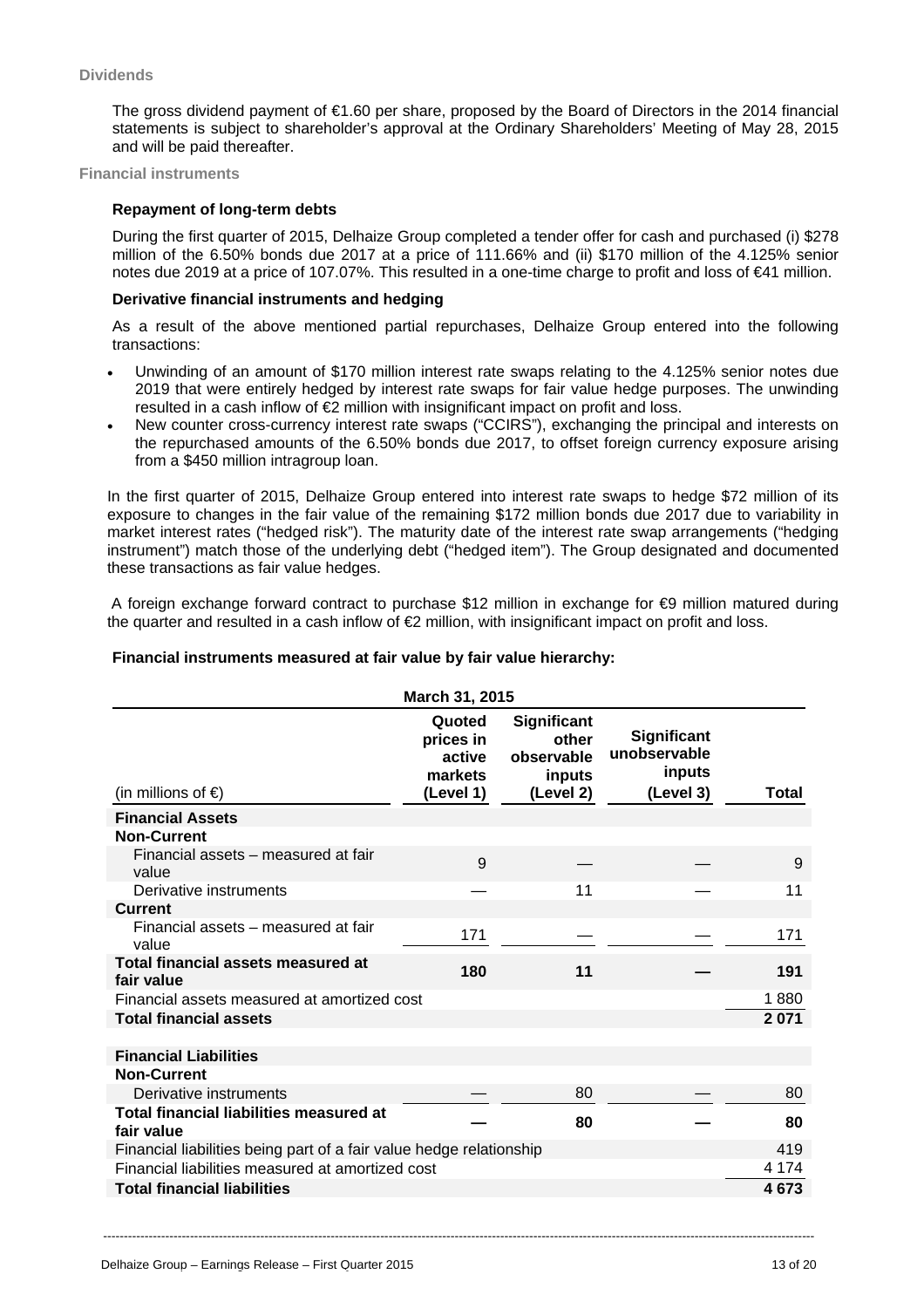#### **Dividends**

The gross dividend payment of €1.60 per share, proposed by the Board of Directors in the 2014 financial statements is subject to shareholder's approval at the Ordinary Shareholders' Meeting of May 28, 2015 and will be paid thereafter.

**Financial instruments**

#### **Repayment of long-term debts**

During the first quarter of 2015, Delhaize Group completed a tender offer for cash and purchased (i) \$278 million of the 6.50% bonds due 2017 at a price of 111.66% and (ii) \$170 million of the 4.125% senior notes due 2019 at a price of 107.07%. This resulted in a one-time charge to profit and loss of €41 million.

#### **Derivative financial instruments and hedging**

As a result of the above mentioned partial repurchases, Delhaize Group entered into the following transactions:

- Unwinding of an amount of \$170 million interest rate swaps relating to the 4.125% senior notes due 2019 that were entirely hedged by interest rate swaps for fair value hedge purposes. The unwinding resulted in a cash inflow of  $\epsilon$  million with insignificant impact on profit and loss.
- New counter cross-currency interest rate swaps ("CCIRS"), exchanging the principal and interests on the repurchased amounts of the 6.50% bonds due 2017, to offset foreign currency exposure arising from a \$450 million intragroup loan.

In the first quarter of 2015, Delhaize Group entered into interest rate swaps to hedge \$72 million of its exposure to changes in the fair value of the remaining \$172 million bonds due 2017 due to variability in market interest rates ("hedged risk"). The maturity date of the interest rate swap arrangements ("hedging instrument") match those of the underlying debt ("hedged item"). The Group designated and documented these transactions as fair value hedges.

 A foreign exchange forward contract to purchase \$12 million in exchange for €9 million matured during the quarter and resulted in a cash inflow of €2 million, with insignificant impact on profit and loss.

#### **Financial instruments measured at fair value by fair value hierarchy:**

|                                                                     | March 31, 2015                                        |                                                           |                                                           |         |
|---------------------------------------------------------------------|-------------------------------------------------------|-----------------------------------------------------------|-----------------------------------------------------------|---------|
| (in millions of $\epsilon$ )                                        | Quoted<br>prices in<br>active<br>markets<br>(Level 1) | Significant<br>other<br>observable<br>inputs<br>(Level 2) | <b>Significant</b><br>unobservable<br>inputs<br>(Level 3) | Total   |
| <b>Financial Assets</b>                                             |                                                       |                                                           |                                                           |         |
| <b>Non-Current</b>                                                  |                                                       |                                                           |                                                           |         |
| Financial assets – measured at fair<br>value                        | 9                                                     |                                                           |                                                           | 9       |
| Derivative instruments                                              |                                                       | 11                                                        |                                                           | 11      |
| <b>Current</b>                                                      |                                                       |                                                           |                                                           |         |
| Financial assets - measured at fair<br>value                        | 171                                                   |                                                           |                                                           | 171     |
| Total financial assets measured at<br>fair value                    | 180                                                   | 11                                                        |                                                           | 191     |
| Financial assets measured at amortized cost                         |                                                       |                                                           |                                                           | 1880    |
| <b>Total financial assets</b>                                       |                                                       |                                                           |                                                           | 2 0 7 1 |
|                                                                     |                                                       |                                                           |                                                           |         |
| <b>Financial Liabilities</b><br><b>Non-Current</b>                  |                                                       |                                                           |                                                           |         |
| Derivative instruments                                              |                                                       | 80                                                        |                                                           | 80      |
| Total financial liabilities measured at<br>fair value               |                                                       | 80                                                        |                                                           | 80      |
| Financial liabilities being part of a fair value hedge relationship |                                                       |                                                           |                                                           | 419     |
| Financial liabilities measured at amortized cost                    |                                                       |                                                           |                                                           | 4 1 7 4 |
| <b>Total financial liabilities</b>                                  |                                                       |                                                           |                                                           | 4673    |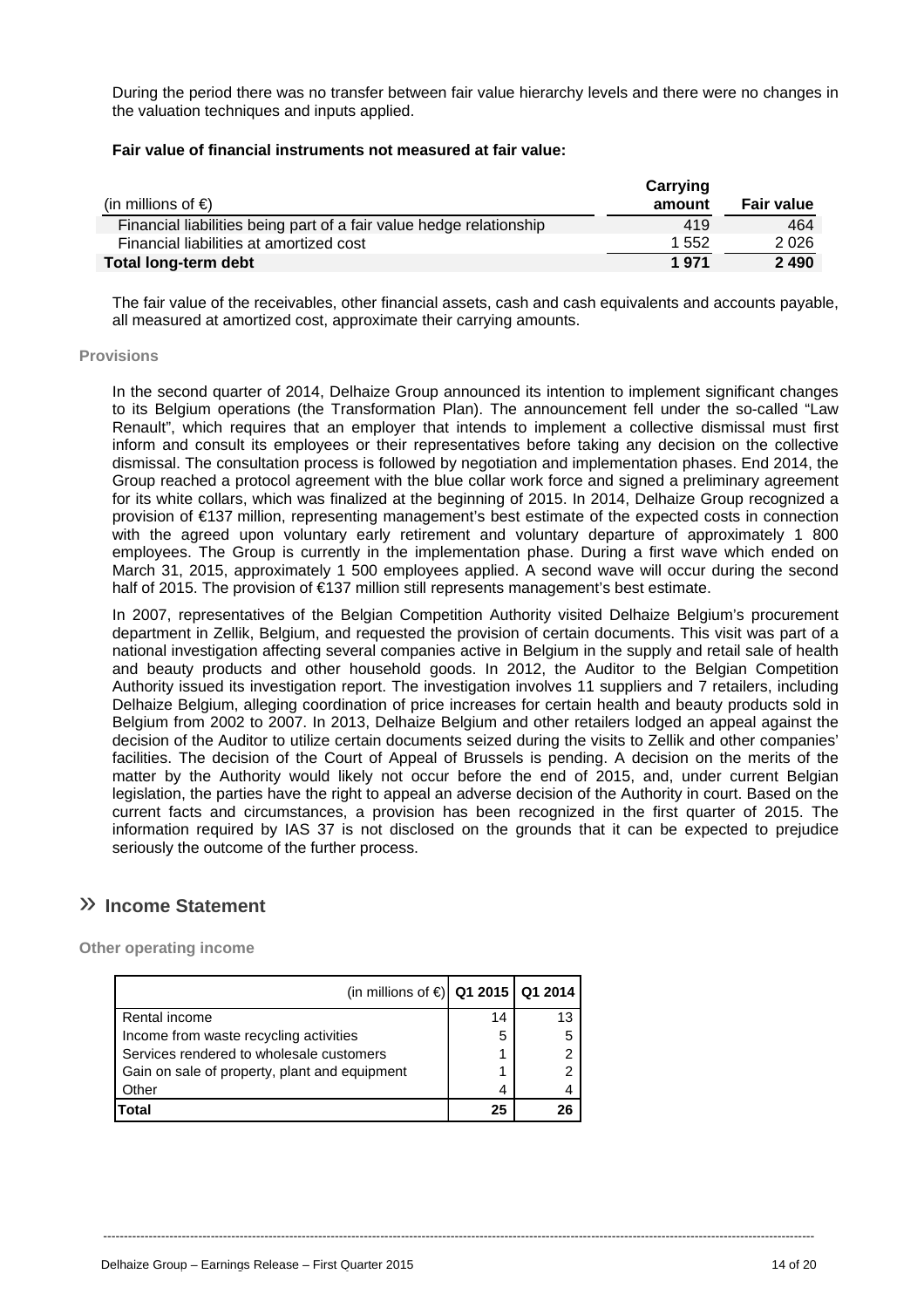During the period there was no transfer between fair value hierarchy levels and there were no changes in the valuation techniques and inputs applied.

#### **Fair value of financial instruments not measured at fair value:**

| (in millions of $\epsilon$ )                                        | Carrying<br>amount | <b>Fair value</b> |
|---------------------------------------------------------------------|--------------------|-------------------|
| Financial liabilities being part of a fair value hedge relationship | 419                | 464               |
| Financial liabilities at amortized cost                             | 1 552              | 2 0 2 6           |
| Total long-term debt                                                | 1 971              | 2 4 9 0           |

The fair value of the receivables, other financial assets, cash and cash equivalents and accounts payable, all measured at amortized cost, approximate their carrying amounts.

#### **Provisions**

In the second quarter of 2014, Delhaize Group announced its intention to implement significant changes to its Belgium operations (the Transformation Plan). The announcement fell under the so-called "Law Renault", which requires that an employer that intends to implement a collective dismissal must first inform and consult its employees or their representatives before taking any decision on the collective dismissal. The consultation process is followed by negotiation and implementation phases. End 2014, the Group reached a protocol agreement with the blue collar work force and signed a preliminary agreement for its white collars, which was finalized at the beginning of 2015. In 2014, Delhaize Group recognized a provision of €137 million, representing management's best estimate of the expected costs in connection with the agreed upon voluntary early retirement and voluntary departure of approximately 1 800 employees. The Group is currently in the implementation phase. During a first wave which ended on March 31, 2015, approximately 1 500 employees applied. A second wave will occur during the second half of 2015. The provision of €137 million still represents management's best estimate.

In 2007, representatives of the Belgian Competition Authority visited Delhaize Belgium's procurement department in Zellik, Belgium, and requested the provision of certain documents. This visit was part of a national investigation affecting several companies active in Belgium in the supply and retail sale of health and beauty products and other household goods. In 2012, the Auditor to the Belgian Competition Authority issued its investigation report. The investigation involves 11 suppliers and 7 retailers, including Delhaize Belgium, alleging coordination of price increases for certain health and beauty products sold in Belgium from 2002 to 2007. In 2013, Delhaize Belgium and other retailers lodged an appeal against the decision of the Auditor to utilize certain documents seized during the visits to Zellik and other companies' facilities. The decision of the Court of Appeal of Brussels is pending. A decision on the merits of the matter by the Authority would likely not occur before the end of 2015, and, under current Belgian legislation, the parties have the right to appeal an adverse decision of the Authority in court. Based on the current facts and circumstances, a provision has been recognized in the first quarter of 2015. The information required by IAS 37 is not disclosed on the grounds that it can be expected to prejudice seriously the outcome of the further process.

----------------------------------------------------------------------------------------------------------------------------------------------------------------------------

# » **Income Statement**

**Other operating income** 

| (in millions of €) Q1 2015 Q1 2014            |    |    |
|-----------------------------------------------|----|----|
| Rental income                                 | 14 | 13 |
| Income from waste recycling activities        | 5  | 5  |
| Services rendered to wholesale customers      |    | 2  |
| Gain on sale of property, plant and equipment |    | 2  |
| Other                                         | 4  |    |
| Total                                         | 25 | 26 |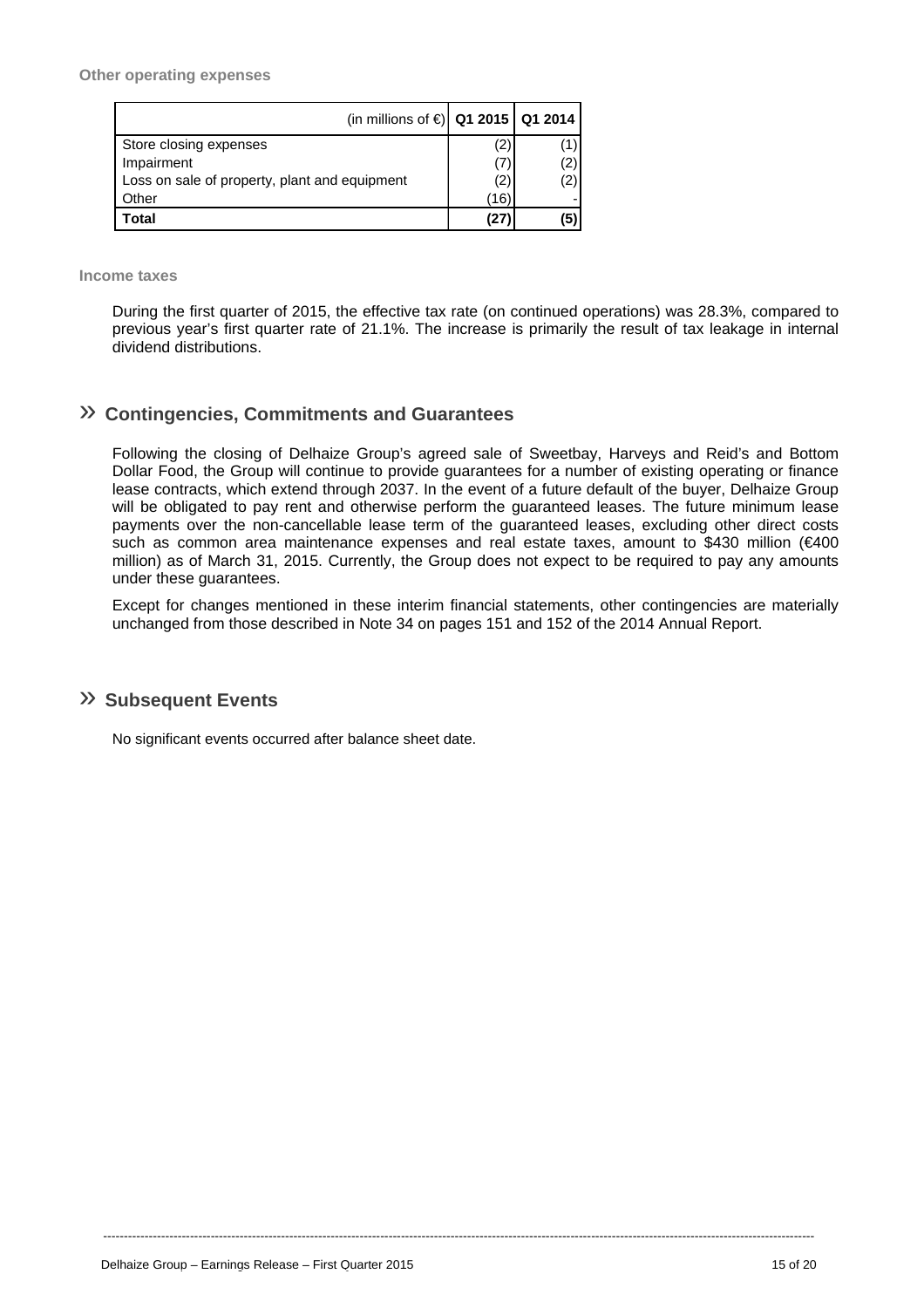| (in millions of €) Q1 2015   Q1 2014          |     |     |
|-----------------------------------------------|-----|-----|
| Store closing expenses                        | (2) |     |
| Impairment                                    | (7) |     |
| Loss on sale of property, plant and equipment | (2) | 2)  |
| Other                                         | 16) |     |
| Total                                         | 127 | (5) |

**Income taxes** 

During the first quarter of 2015, the effective tax rate (on continued operations) was 28.3%, compared to previous year's first quarter rate of 21.1%. The increase is primarily the result of tax leakage in internal dividend distributions.

# » **Contingencies, Commitments and Guarantees**

Following the closing of Delhaize Group's agreed sale of Sweetbay, Harveys and Reid's and Bottom Dollar Food, the Group will continue to provide guarantees for a number of existing operating or finance lease contracts, which extend through 2037. In the event of a future default of the buyer, Delhaize Group will be obligated to pay rent and otherwise perform the guaranteed leases. The future minimum lease payments over the non-cancellable lease term of the guaranteed leases, excluding other direct costs such as common area maintenance expenses and real estate taxes, amount to \$430 million (€400 million) as of March 31, 2015. Currently, the Group does not expect to be required to pay any amounts under these guarantees.

Except for changes mentioned in these interim financial statements, other contingencies are materially unchanged from those described in Note 34 on pages 151 and 152 of the 2014 Annual Report.

----------------------------------------------------------------------------------------------------------------------------------------------------------------------------

## » **Subsequent Events**

No significant events occurred after balance sheet date.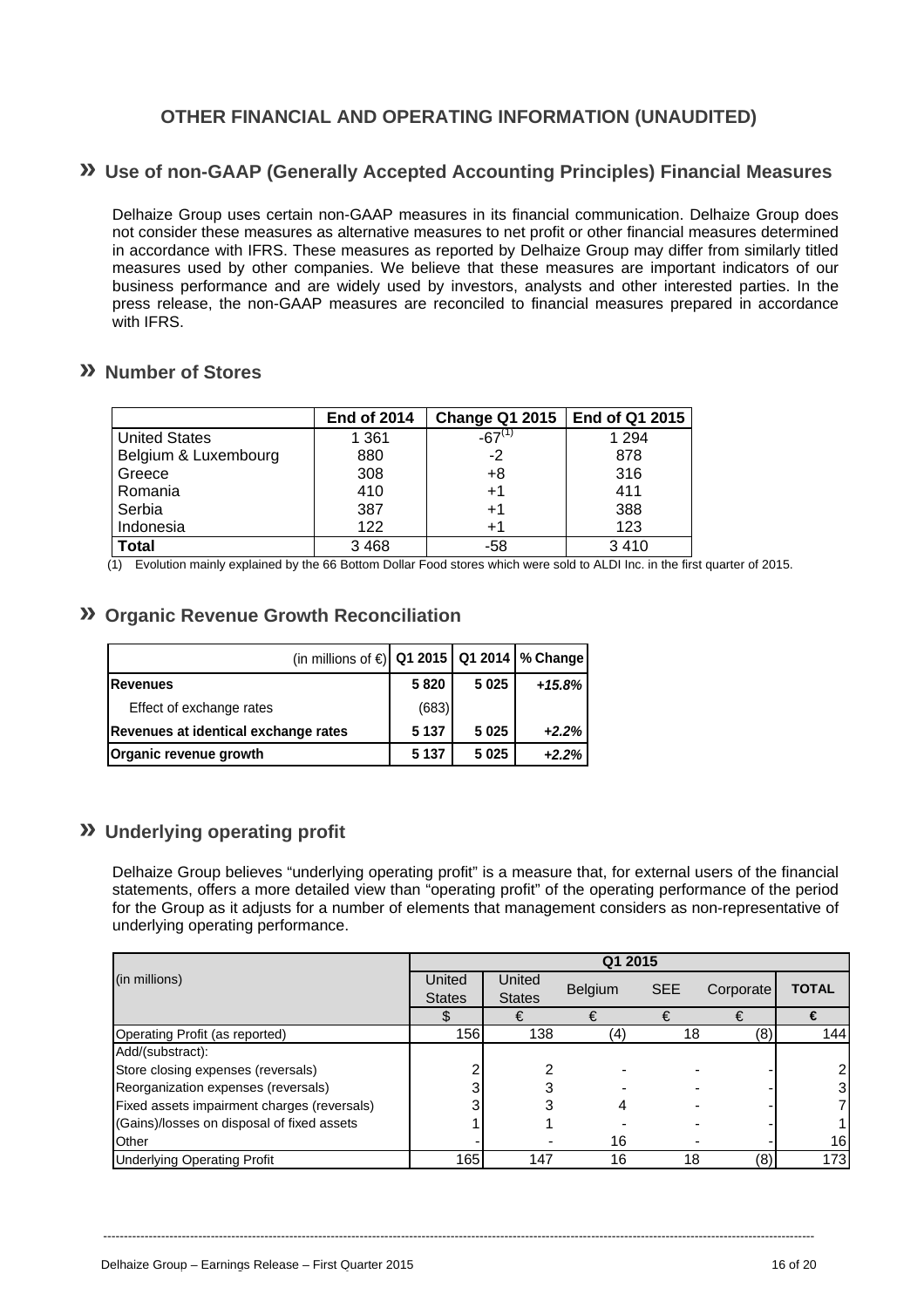# **OTHER FINANCIAL AND OPERATING INFORMATION (UNAUDITED)**

# **» Use of non-GAAP (Generally Accepted Accounting Principles) Financial Measures**

Delhaize Group uses certain non-GAAP measures in its financial communication. Delhaize Group does not consider these measures as alternative measures to net profit or other financial measures determined in accordance with IFRS. These measures as reported by Delhaize Group may differ from similarly titled measures used by other companies. We believe that these measures are important indicators of our business performance and are widely used by investors, analysts and other interested parties. In the press release, the non-GAAP measures are reconciled to financial measures prepared in accordance with IFRS.

### **» Number of Stores**

|                      | <b>End of 2014</b> | Change Q1 2015   End of Q1 2015 |         |
|----------------------|--------------------|---------------------------------|---------|
| <b>United States</b> | 1 3 6 1            | $-67$ <sup>(1)</sup>            | 1 2 9 4 |
| Belgium & Luxembourg | 880                | $-2$                            | 878     |
| Greece               | 308                | $+8$                            | 316     |
| Romania              | 410                | $+1$                            | 411     |
| Serbia               | 387                | $+1$                            | 388     |
| Indonesia            | 122                | +1                              | 123     |
| <b>Total</b>         | 3 4 6 8            | -58                             | 3410    |

(1) Evolution mainly explained by the 66 Bottom Dollar Food stores which were sold to ALDI Inc. in the first quarter of 2015.

### **» Organic Revenue Growth Reconciliation**

| (in millions of $\in$   Q1 2015   Q1 2014   % Change |         |         |          |
|------------------------------------------------------|---------|---------|----------|
| Revenues                                             | 5820    | 5 0 2 5 | $+15.8%$ |
| Effect of exchange rates                             | (683)   |         |          |
| Revenues at identical exchange rates                 | 5 1 3 7 | 5 0 2 5 | $+2.2%$  |
| Organic revenue growth                               | 5 1 3 7 | 5 0 2 5 | $+2.2%$  |

# **» Underlying operating profit**

Delhaize Group believes "underlying operating profit" is a measure that, for external users of the financial statements, offers a more detailed view than "operating profit" of the operating performance of the period for the Group as it adjusts for a number of elements that management considers as non-representative of underlying operating performance.

|                                             | Q1 2015       |               |                |            |           |              |
|---------------------------------------------|---------------|---------------|----------------|------------|-----------|--------------|
| (in millions)                               | United        | United        | <b>Belgium</b> | <b>SEE</b> |           | <b>TOTAL</b> |
|                                             | <b>States</b> | <b>States</b> |                |            | Corporate |              |
|                                             |               | €             | €              | €          | €         | €            |
| Operating Profit (as reported)              | 156I          | 138           | (4)            | 18         | (8)       | 144          |
| Add/(substract):                            |               |               |                |            |           |              |
| Store closing expenses (reversals)          |               |               |                |            |           |              |
| Reorganization expenses (reversals)         |               |               |                |            |           |              |
| Fixed assets impairment charges (reversals) |               |               |                |            |           |              |
| (Gains)/losses on disposal of fixed assets  |               |               |                |            |           |              |
| Other                                       |               |               | 16             |            |           | 16           |
| <b>Underlying Operating Profit</b>          | 165l          | 147           | 16             | 18         | (8)       | 173          |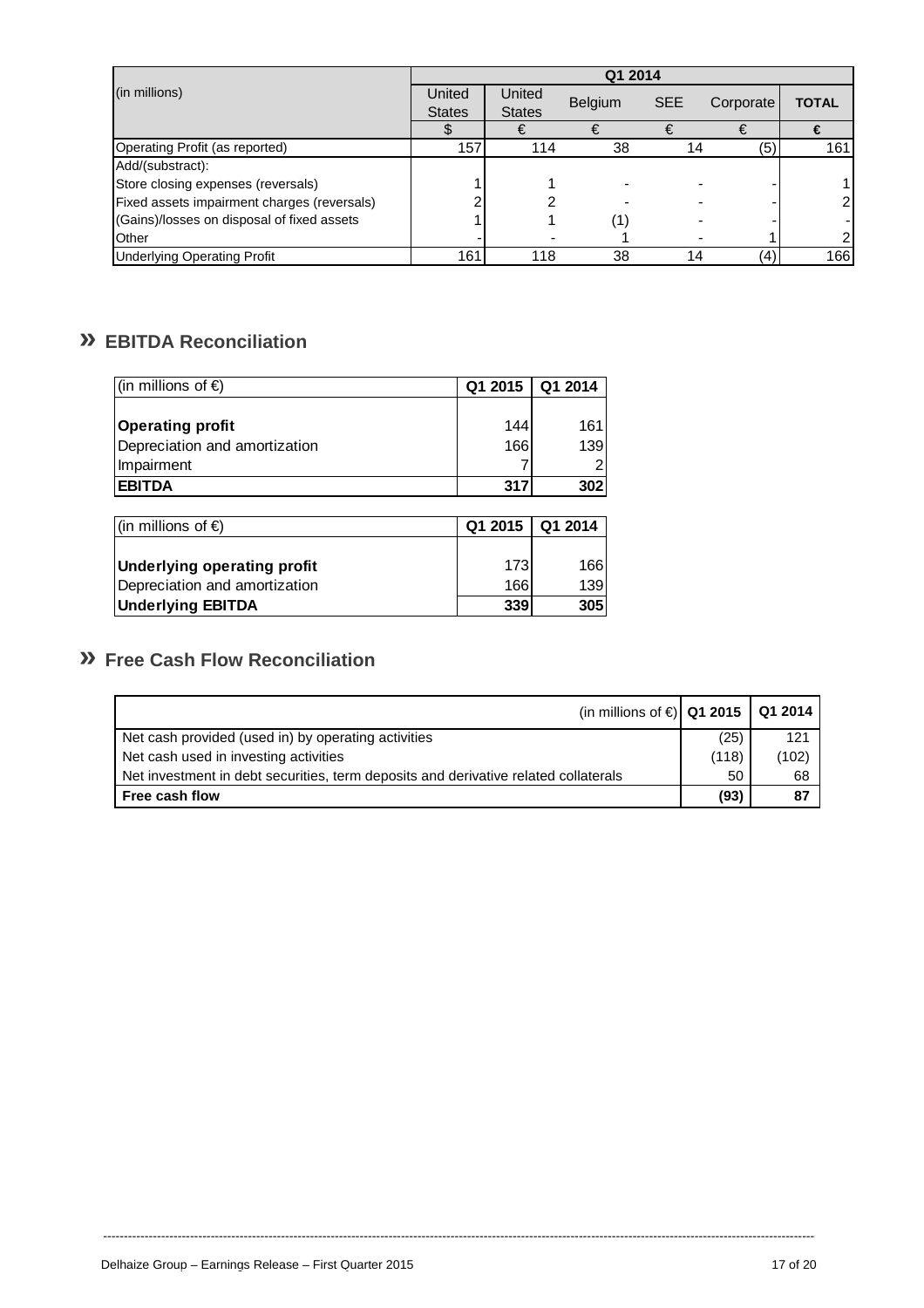|                                             | Q1 2014       |               |                   |            |           |                |  |
|---------------------------------------------|---------------|---------------|-------------------|------------|-----------|----------------|--|
| (in millions)                               | United        | United        | <b>Belgium</b>    | <b>SEE</b> | Corporate | <b>TOTAL</b>   |  |
|                                             | <b>States</b> | <b>States</b> |                   |            |           |                |  |
|                                             |               |               |                   |            |           |                |  |
| Operating Profit (as reported)              | 157           | 114           | 38                | 14         | (5)       | 161            |  |
| Add/(substract):                            |               |               |                   |            |           |                |  |
| Store closing expenses (reversals)          |               |               |                   |            |           |                |  |
| Fixed assets impairment charges (reversals) |               |               |                   |            |           | $\overline{2}$ |  |
| (Gains)/losses on disposal of fixed assets  |               |               | $\left( 1\right)$ |            |           |                |  |
| <b>I</b> Other                              |               |               |                   |            |           | 2              |  |
| <b>Underlying Operating Profit</b>          | 161           | 118           | 38                | 14         | (4)       | 166            |  |

# **» EBITDA Reconciliation**

| (in millions of $\epsilon$ )  | Q1 2015 | Q1 2014 |
|-------------------------------|---------|---------|
|                               |         |         |
| Operating profit              | 144     | 161     |
| Depreciation and amortization | 166     | 139     |
| Impairment                    |         |         |
| <b>EBITDA</b>                 | 317     | 302     |
|                               |         |         |
| (in millions of €)            | Q1 2015 | Q1 2014 |
|                               |         |         |

|                                    | ------ | - - - - - |
|------------------------------------|--------|-----------|
|                                    |        |           |
| <b>Underlying operating profit</b> | 173    | 166       |
| Depreciation and amortization      | 1661   | 139       |
| <b>Underlying EBITDA</b>           | 339    | 305       |

# **» Free Cash Flow Reconciliation**

| (in millions of €) Q1 2015   Q1 2014                                                |                 |       |
|-------------------------------------------------------------------------------------|-----------------|-------|
| Net cash provided (used in) by operating activities                                 | (25)            | 121   |
| Net cash used in investing activities                                               | (118)           | (102) |
| Net investment in debt securities, term deposits and derivative related collaterals | 50 <sub>1</sub> | 68    |
| Free cash flow                                                                      | (93)            | 87    |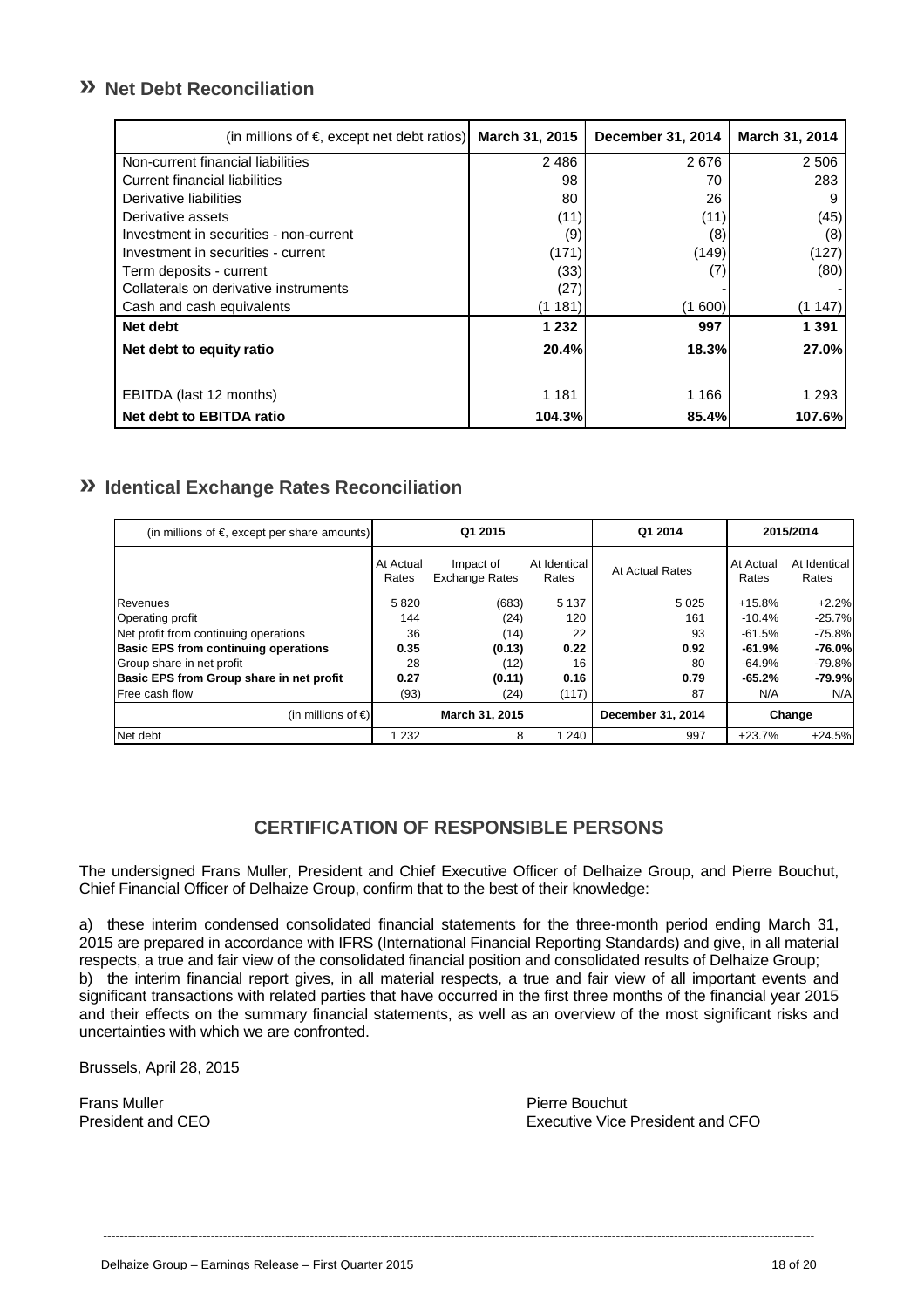# **» Net Debt Reconciliation**

| (in millions of $\epsilon$ , except net debt ratios) | <b>March 31, 2015</b> | December 31, 2014 | March 31, 2014 |
|------------------------------------------------------|-----------------------|-------------------|----------------|
| Non-current financial liabilities                    | 2486                  | 2676              | 2 5 0 6        |
| Current financial liabilities                        | 98                    | 70                | 283            |
| Derivative liabilities                               | 80                    | 26                | 9              |
| Derivative assets                                    | (11)                  | (11)              | (45)           |
| Investment in securities - non-current               | (9)                   | (8)               | (8)            |
| Investment in securities - current                   | (171)                 | (149)             | (127)          |
| Term deposits - current                              | (33)                  | (7)               | (80)           |
| Collaterals on derivative instruments                | (27)                  |                   |                |
| Cash and cash equivalents                            | (1 181)               | (1600)            | (1147)         |
| Net debt                                             | 1 2 3 2               | 997               | 1 3 9 1        |
| Net debt to equity ratio                             | 20.4%                 | <b>18.3%</b>      | 27.0%          |
| EBITDA (last 12 months)                              | 1 1 8 1               | 1 1 6 6           | 1 293          |
| Net debt to EBITDA ratio                             | 104.3%                | 85.4%             | 107.6%         |

# **» Identical Exchange Rates Reconciliation**

| (in millions of $\epsilon$ , except per share amounts) | Q1 2015            |                                    | Q1 2014               |                 | 2015/2014          |                       |
|--------------------------------------------------------|--------------------|------------------------------------|-----------------------|-----------------|--------------------|-----------------------|
|                                                        | At Actual<br>Rates | Impact of<br><b>Exchange Rates</b> | At Identical<br>Rates | At Actual Rates | At Actual<br>Rates | At Identical<br>Rates |
| Revenues                                               | 5820               | (683)                              | 5 1 3 7               | 5025            | $+15.8%$           | $+2.2%$               |
| <b>Operating profit</b>                                | 144                | (24)                               | 120                   | 161             | $-10.4%$           | $-25.7%$              |
| Net profit from continuing operations                  | 36                 | (14)                               | 22                    | 93              | $-61.5%$           | $-75.8%$              |
| <b>Basic EPS from continuing operations</b>            | 0.35               | (0.13)                             | 0.22                  | 0.92            | $-61.9%$           | -76.0%                |
| Group share in net profit                              | 28                 | (12)                               | 16                    | 80              | $-64.9%$           | $-79.8%$              |
| Basic EPS from Group share in net profit               | 0.27               | (0.11)                             | 0.16                  | 0.79            | $-65.2%$           | -79.9%l               |
| <b>Free cash flow</b>                                  | (93)               | (24)                               | (117)                 | 87              | N/A                | N/A                   |
| (in millions of $\epsilon$ )                           | March 31, 2015     |                                    | December 31, 2014     |                 | Change             |                       |
| Net debt                                               | 232                | 8                                  | 1 240                 | 997             | $+23.7%$           | $+24.5%$              |

# **CERTIFICATION OF RESPONSIBLE PERSONS**

The undersigned Frans Muller, President and Chief Executive Officer of Delhaize Group, and Pierre Bouchut, Chief Financial Officer of Delhaize Group, confirm that to the best of their knowledge:

a) these interim condensed consolidated financial statements for the three-month period ending March 31, 2015 are prepared in accordance with IFRS (International Financial Reporting Standards) and give, in all material respects, a true and fair view of the consolidated financial position and consolidated results of Delhaize Group; b) the interim financial report gives, in all material respects, a true and fair view of all important events and significant transactions with related parties that have occurred in the first three months of the financial year 2015 and their effects on the summary financial statements, as well as an overview of the most significant risks and uncertainties with which we are confronted.

----------------------------------------------------------------------------------------------------------------------------------------------------------------------------

Brussels, April 28, 2015

Frans Muller Pierre Bouchut

Executive Vice President and CFO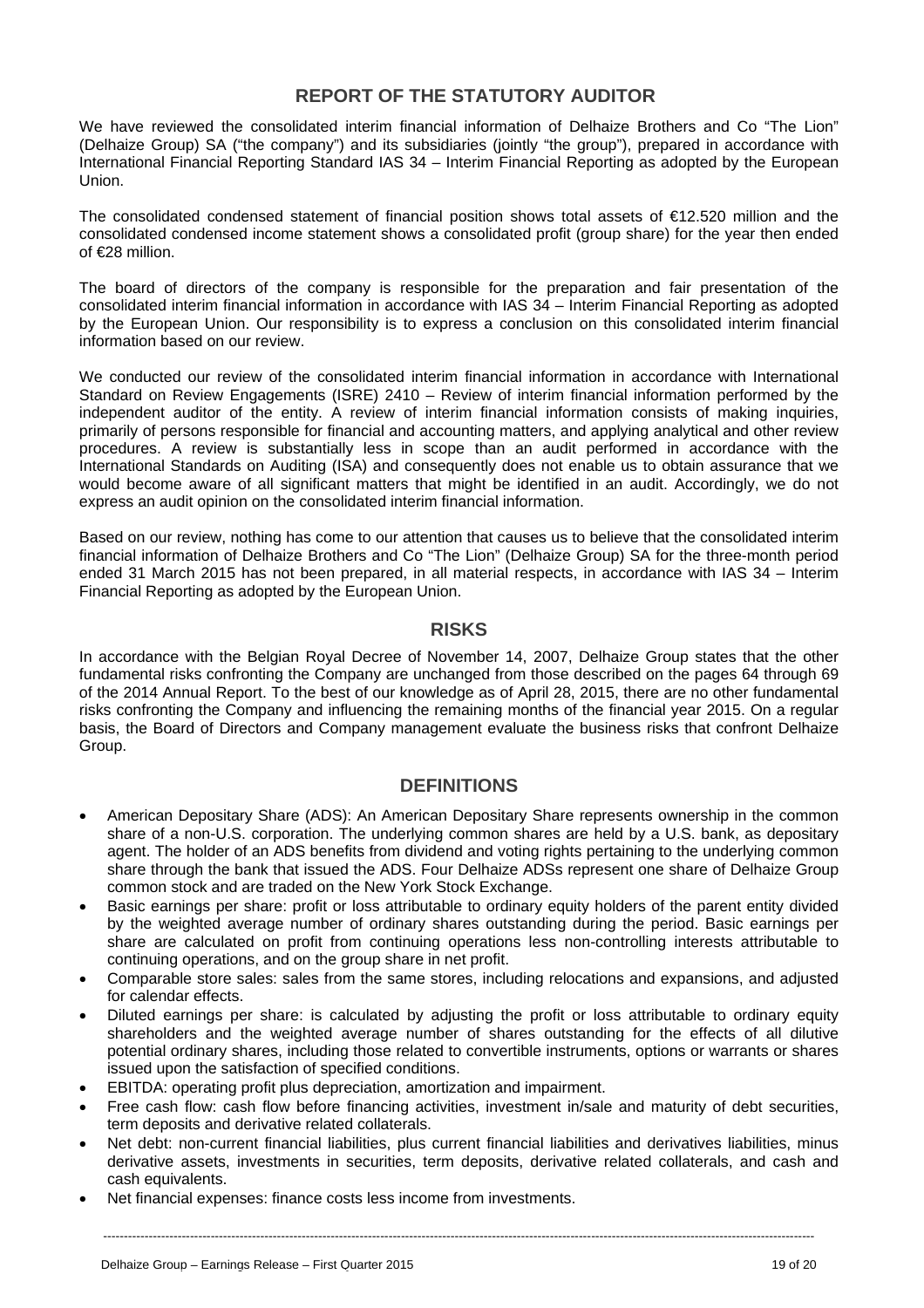### **REPORT OF THE STATUTORY AUDITOR**

We have reviewed the consolidated interim financial information of Delhaize Brothers and Co "The Lion" (Delhaize Group) SA ("the company") and its subsidiaries (jointly "the group"), prepared in accordance with International Financial Reporting Standard IAS 34 – Interim Financial Reporting as adopted by the European Union.

The consolidated condensed statement of financial position shows total assets of €12.520 million and the consolidated condensed income statement shows a consolidated profit (group share) for the year then ended of €28 million.

The board of directors of the company is responsible for the preparation and fair presentation of the consolidated interim financial information in accordance with IAS 34 – Interim Financial Reporting as adopted by the European Union. Our responsibility is to express a conclusion on this consolidated interim financial information based on our review.

We conducted our review of the consolidated interim financial information in accordance with International Standard on Review Engagements (ISRE) 2410 – Review of interim financial information performed by the independent auditor of the entity. A review of interim financial information consists of making inquiries, primarily of persons responsible for financial and accounting matters, and applying analytical and other review procedures. A review is substantially less in scope than an audit performed in accordance with the International Standards on Auditing (ISA) and consequently does not enable us to obtain assurance that we would become aware of all significant matters that might be identified in an audit. Accordingly, we do not express an audit opinion on the consolidated interim financial information.

Based on our review, nothing has come to our attention that causes us to believe that the consolidated interim financial information of Delhaize Brothers and Co "The Lion" (Delhaize Group) SA for the three-month period ended 31 March 2015 has not been prepared, in all material respects, in accordance with IAS 34 – Interim Financial Reporting as adopted by the European Union.

### **RISKS**

In accordance with the Belgian Royal Decree of November 14, 2007, Delhaize Group states that the other fundamental risks confronting the Company are unchanged from those described on the pages 64 through 69 of the 2014 Annual Report. To the best of our knowledge as of April 28, 2015, there are no other fundamental risks confronting the Company and influencing the remaining months of the financial year 2015. On a regular basis, the Board of Directors and Company management evaluate the business risks that confront Delhaize Group.

### **DEFINITIONS**

- American Depositary Share (ADS): An American Depositary Share represents ownership in the common share of a non-U.S. corporation. The underlying common shares are held by a U.S. bank, as depositary agent. The holder of an ADS benefits from dividend and voting rights pertaining to the underlying common share through the bank that issued the ADS. Four Delhaize ADSs represent one share of Delhaize Group common stock and are traded on the New York Stock Exchange.
- Basic earnings per share: profit or loss attributable to ordinary equity holders of the parent entity divided by the weighted average number of ordinary shares outstanding during the period. Basic earnings per share are calculated on profit from continuing operations less non-controlling interests attributable to continuing operations, and on the group share in net profit.
- Comparable store sales: sales from the same stores, including relocations and expansions, and adjusted for calendar effects.
- Diluted earnings per share: is calculated by adjusting the profit or loss attributable to ordinary equity shareholders and the weighted average number of shares outstanding for the effects of all dilutive potential ordinary shares, including those related to convertible instruments, options or warrants or shares issued upon the satisfaction of specified conditions.
- EBITDA: operating profit plus depreciation, amortization and impairment.
- Free cash flow: cash flow before financing activities, investment in/sale and maturity of debt securities, term deposits and derivative related collaterals.
- Net debt: non-current financial liabilities, plus current financial liabilities and derivatives liabilities, minus derivative assets, investments in securities, term deposits, derivative related collaterals, and cash and cash equivalents.
- Net financial expenses: finance costs less income from investments.